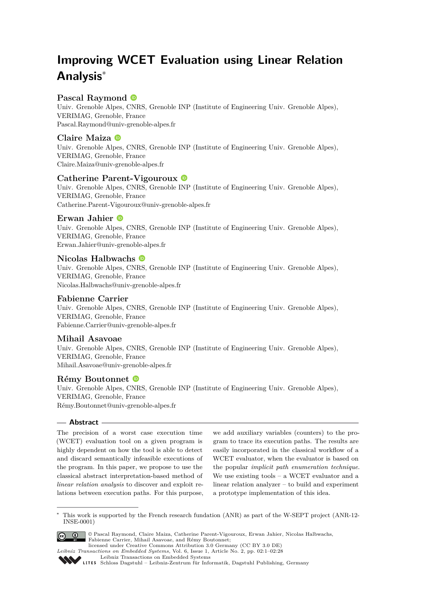# **Improving WCET Evaluation using Linear Relation Analysis**<sup>∗</sup>

### **Pascal Raymond**

Univ. Grenoble Alpes, CNRS, Grenoble INP (Institute of Engineering Univ. Grenoble Alpes), VERIMAG, Grenoble, France [Pascal.Raymond@univ-grenoble-alpes.fr](mailto:Pascal.Raymond@univ-grenoble-alpes.fr)

### **Claire Maiza**

Univ. Grenoble Alpes, CNRS, Grenoble INP (Institute of Engineering Univ. Grenoble Alpes), VERIMAG, Grenoble, France [Claire.Maiza@univ-grenoble-alpes.fr](mailto:Claire.Maiza@univ-grenoble-alpes.fr)

### **Catherine Parent-Vigouroux**

Univ. Grenoble Alpes, CNRS, Grenoble INP (Institute of Engineering Univ. Grenoble Alpes), VERIMAG, Grenoble, France [Catherine.Parent-Vigouroux@univ-grenoble-alpes.fr](mailto:Catherine.Parent-Vigouroux@univ-grenoble-alpes.fr)

### **Erwan Jahier**

Univ. Grenoble Alpes, CNRS, Grenoble INP (Institute of Engineering Univ. Grenoble Alpes), VERIMAG, Grenoble, France [Erwan.Jahier@univ-grenoble-alpes.fr](mailto:Erwan.Jahier@univ-grenoble-alpes.fr)

### **Nicolas Halbwachs**

Univ. Grenoble Alpes, CNRS, Grenoble INP (Institute of Engineering Univ. Grenoble Alpes), VERIMAG, Grenoble, France [Nicolas.Halbwachs@univ-grenoble-alpes.fr](mailto:Nicolas.Halbwachs@univ-grenoble-alpes.fr)

### **Fabienne Carrier**

Univ. Grenoble Alpes, CNRS, Grenoble INP (Institute of Engineering Univ. Grenoble Alpes), VERIMAG, Grenoble, France [Fabienne.Carrier@univ-grenoble-alpes.fr](mailto:Fabienne.Carrier@univ-grenoble-alpes.fr)

### **Mihail Asavoae**

Univ. Grenoble Alpes, CNRS, Grenoble INP (Institute of Engineering Univ. Grenoble Alpes), VERIMAG, Grenoble, France [Mihail.Asavoae@univ-grenoble-alpes.fr](mailto:Mihail.Asavoae@univ-grenoble-alpes.fr)

### **Rémy Boutonnet**

Univ. Grenoble Alpes, CNRS, Grenoble INP (Institute of Engineering Univ. Grenoble Alpes), VERIMAG, Grenoble, France [Rémy.Boutonnet@univ-grenoble-alpes.fr](mailto:R�my.Boutonnet@univ-grenoble-alpes.fr)

### **Abstract**

The precision of a worst case execution time (WCET) evaluation tool on a given program is highly dependent on how the tool is able to detect and discard semantically infeasible executions of the program. In this paper, we propose to use the classical abstract interpretation-based method of *linear relation analysis* to discover and exploit relations between execution paths. For this purpose, we add auxiliary variables (counters) to the program to trace its execution paths. The results are easily incorporated in the classical workflow of a WCET evaluator, when the evaluator is based on the popular *implicit path enumeration technique*. We use existing tools – a WCET evaluator and a linear relation analyzer – to build and experiment a prototype implementation of this idea.

<sup>∗</sup> This work is supported by the French research fundation (ANR) as part of the W-SEPT project (ANR-12- INSE-0001)



© Pascal Raymond, Claire Maiza, Catherine Parent-Vigouroux, Erwan Jahier, Nicolas Halbwachs, Fabienne Carrier, Mihail Asavoae, and Rémy Boutonnet; licensed under Creative Commons Attribution 3.0 Germany (CC BY 3.0 DE)

[Leibniz Transactions on Embedded Systems](http://www.dagstuhl.de/lites)

*Leibniz Transactions on Embedded Systems*, Vol. 6, Issue 1, Article No. 2, pp. 02:1–02[:28](#page-27-0)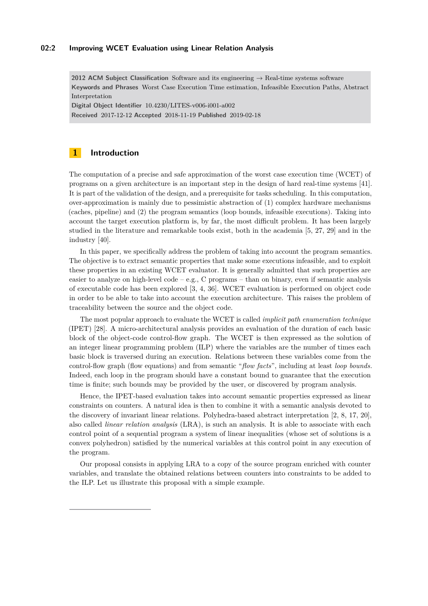#### **02:2 Improving WCET Evaluation using Linear Relation Analysis**

**2012 ACM Subject Classification** Software and its engineering → Real-time systems software **Keywords and Phrases** Worst Case Execution Time estimation, Infeasible Execution Paths, Abstract Interpretation

**Digital Object Identifier** [10.4230/LITES-v006-i001-a002](https://doi.org/10.4230/LITES-v006-i001-a002) **Received** 2017-12-12 **Accepted** 2018-11-19 **Published** 2019-02-18

### **1 Introduction**

The computation of a precise and safe approximation of the worst case execution time (WCET) of programs on a given architecture is an important step in the design of hard real-time systems [\[41\]](#page-20-0). It is part of the validation of the design, and a prerequisite for tasks scheduling. In this computation, over-approximation is mainly due to pessimistic abstraction of (1) complex hardware mechanisms (caches, pipeline) and (2) the program semantics (loop bounds, infeasible executions). Taking into account the target execution platform is, by far, the most difficult problem. It has been largely studied in the literature and remarkable tools exist, both in the academia [\[5,](#page-18-0) [27,](#page-19-0) [29\]](#page-19-1) and in the industry [\[40\]](#page-20-1).

In this paper, we specifically address the problem of taking into account the program semantics. The objective is to extract semantic properties that make some executions infeasible, and to exploit these properties in an existing WCET evaluator. It is generally admitted that such properties are easier to analyze on high-level code – e.g., C programs – than on binary, even if semantic analysis of executable code has been explored [\[3,](#page-18-1) [4,](#page-18-2) [36\]](#page-20-2). WCET evaluation is performed on object code in order to be able to take into account the execution architecture. This raises the problem of traceability between the source and the object code.

The most popular approach to evaluate the WCET is called *implicit path enumeration technique* (IPET) [\[28\]](#page-19-2). A micro-architectural analysis provides an evaluation of the duration of each basic block of the object-code control-flow graph. The WCET is then expressed as the solution of an integer linear programming problem (ILP) where the variables are the number of times each basic block is traversed during an execution. Relations between these variables come from the control-flow graph (flow equations) and from semantic "*flow facts*", including at least *loop bounds*. Indeed, each loop in the program should have a constant bound to guarantee that the execution time is finite; such bounds may be provided by the user, or discovered by program analysis.

Hence, the IPET-based evaluation takes into account semantic properties expressed as linear constraints on counters. A natural idea is then to combine it with a semantic analysis devoted to the discovery of invariant linear relations. Polyhedra-based abstract interpretation [\[2,](#page-18-3) [8,](#page-19-3) [17,](#page-19-4) [20\]](#page-19-5), also called *linear relation analysis* (LRA), is such an analysis. It is able to associate with each control point of a sequential program a system of linear inequalities (whose set of solutions is a convex polyhedron) satisfied by the numerical variables at this control point in any execution of the program.

Our proposal consists in applying LRA to a copy of the source program enriched with counter variables, and translate the obtained relations between counters into constraints to be added to the ILP. Let us illustrate this proposal with a simple example.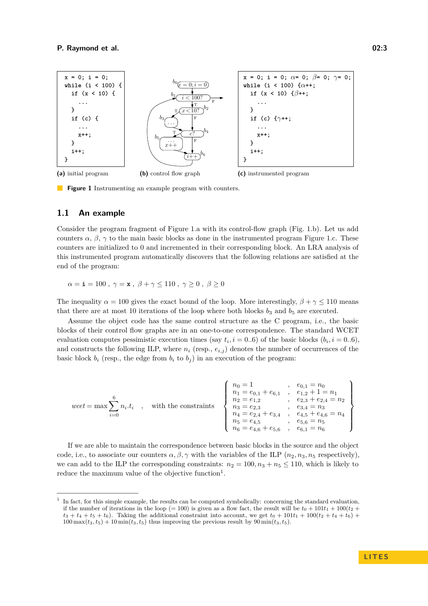<span id="page-2-0"></span>

**Figure 1** Instrumenting an example program with counters.

### <span id="page-2-2"></span>**1.1 An example**

Consider the program fragment of Figure [1.](#page-2-0)a with its control-flow graph (Fig. [1.](#page-2-0)b). Let us add counters  $\alpha$ ,  $\beta$ ,  $\gamma$  to the main basic blocks as done in the instrumented program Figure [1.](#page-2-0)c. These counters are initialized to 0 and incremented in their corresponding block. An LRA analysis of this instrumented program automatically discovers that the following relations are satisfied at the end of the program:

 $\alpha = \mathbf{i} = 100$ ,  $\gamma = \mathbf{x}$ ,  $\beta + \gamma \le 110$ ,  $\gamma \ge 0$ ,  $\beta \ge 0$ 

The inequality  $\alpha = 100$  gives the exact bound of the loop. More interestingly,  $\beta + \gamma \leq 110$  means that there are at most 10 iterations of the loop where both blocks  $b_3$  and  $b_5$  are executed.

Assume the object code has the same control structure as the C program, i.e., the basic blocks of their control flow graphs are in an one-to-one correspondence. The standard WCET evaluation computes pessimistic execution times (say  $t_i$ ,  $i = 0..6$ ) of the basic blocks ( $b_i$ ,  $i = 0..6$ ), and constructs the following ILP, where  $n_i$  (resp.,  $e_{i,j}$ ) denotes the number of occurrences of the basic block  $b_i$  (resp., the edge from  $b_i$  to  $b_j$ ) in an execution of the program:

$$
wcet = \max \sum_{i=0}^{6} n_i \cdot t_i \quad , \quad \text{with the constraints} \quad \begin{Bmatrix} n_0 = 1 & , & e_{0,1} = n_0 \\ n_1 = e_{0,1} + e_{6,1} & , & e_{1,2} + 1 = n_1 \\ n_2 = e_{1,2} & , & e_{2,3} + e_{2,4} = n_2 \\ n_3 = e_{2,3} & , & e_{3,4} = n_3 \\ n_4 = e_{2,4} + e_{3,4} & , & e_{4,5} + e_{4,6} = n_4 \\ n_5 = e_{4,5} & , & e_{5,6} = n_5 \\ n_6 = e_{4,6} + e_{5,6} & , & e_{6,1} = n_6 \end{Bmatrix}
$$

If we are able to maintain the correspondence between basic blocks in the source and the object code, i.e., to associate our counters  $\alpha, \beta, \gamma$  with the variables of the ILP  $(n_2, n_3, n_5$  respectively), we can add to the ILP the corresponding constraints:  $n_2 = 100, n_3 + n_5 \le 110$ , which is likely to reduce the maximum value of the objective function<sup>[1](#page-2-1)</sup>.

<span id="page-2-1"></span><sup>1</sup> In fact, for this simple example, the results can be computed symbolically: concerning the standard evaluation, if the number of iterations in the loop (= 100) is given as a flow fact, the result will be  $t_0 + 101t_1 + 100(t_2 +$  $t_3 + t_4 + t_5 + t_6$ . Taking the additional constraint into account, we get  $t_0 + 101t_1 + 100(t_2 + t_4 + t_6)$  $100 \max(t_3, t_5) + 10 \min(t_3, t_5)$  thus improving the previous result by  $90 \min(t_3, t_5)$ .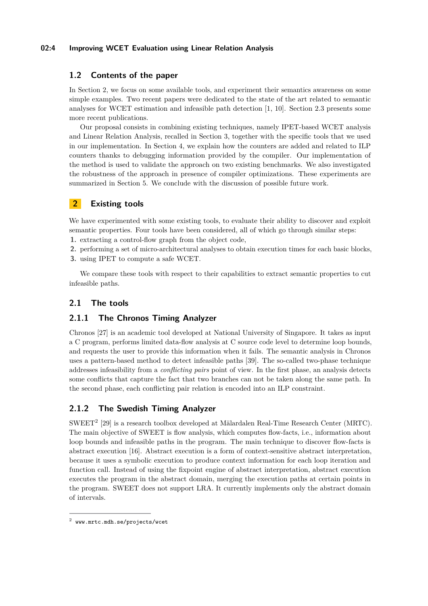### **02:4 Improving WCET Evaluation using Linear Relation Analysis**

### **1.2 Contents of the paper**

In Section [2,](#page-3-0) we focus on some available tools, and experiment their semantics awareness on some simple examples. Two recent papers were dedicated to the state of the art related to semantic analyses for WCET estimation and infeasible path detection [\[1,](#page-18-4) [10\]](#page-19-6). Section [2.3](#page-5-0) presents some more recent publications.

Our proposal consists in combining existing techniques, namely IPET-based WCET analysis and Linear Relation Analysis, recalled in Section [3,](#page-6-0) together with the specific tools that we used in our implementation. In Section [4,](#page-8-0) we explain how the counters are added and related to ILP counters thanks to debugging information provided by the compiler. Our implementation of the method is used to validate the approach on two existing benchmarks. We also investigated the robustness of the approach in presence of compiler optimizations. These experiments are summarized in Section [5.](#page-13-0) We conclude with the discussion of possible future work.

## <span id="page-3-0"></span>**2 Existing tools**

We have experimented with some existing tools, to evaluate their ability to discover and exploit semantic properties. Four tools have been considered, all of which go through similar steps:

- **1.** extracting a control-flow graph from the object code,
- **2.** performing a set of micro-architectural analyses to obtain execution times for each basic blocks,
- **3.** using IPET to compute a safe WCET.

We compare these tools with respect to their capabilities to extract semantic properties to cut infeasible paths.

### **2.1 The tools**

### **2.1.1 The Chronos Timing Analyzer**

Chronos [\[27\]](#page-19-0) is an academic tool developed at National University of Singapore. It takes as input a C program, performs limited data-flow analysis at C source code level to determine loop bounds, and requests the user to provide this information when it fails. The semantic analysis in Chronos uses a pattern-based method to detect infeasible paths [\[39\]](#page-20-3). The so-called two-phase technique addresses infeasibility from a *conflicting pairs* point of view. In the first phase, an analysis detects some conflicts that capture the fact that two branches can not be taken along the same path. In the second phase, each conflicting pair relation is encoded into an ILP constraint.

### **2.1.2 The Swedish Timing Analyzer**

SWEET<sup>[2](#page-3-1)</sup> [\[29\]](#page-19-1) is a research toolbox developed at Mälardalen Real-Time Research Center (MRTC). The main objective of SWEET is flow analysis, which computes flow-facts, i.e., information about loop bounds and infeasible paths in the program. The main technique to discover flow-facts is abstract execution [\[16\]](#page-19-7). Abstract execution is a form of context-sensitive abstract interpretation, because it uses a symbolic execution to produce context information for each loop iteration and function call. Instead of using the fixpoint engine of abstract interpretation, abstract execution executes the program in the abstract domain, merging the execution paths at certain points in the program. SWEET does not support LRA. It currently implements only the abstract domain of intervals.

<span id="page-3-1"></span><sup>2</sup> <www.mrtc.mdh.se/projects/wcet>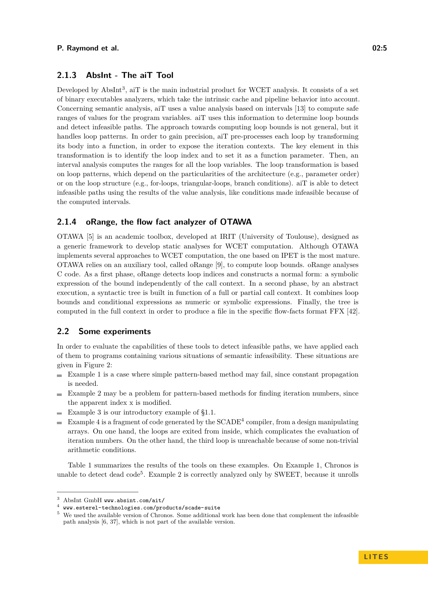### **2.1.3 AbsInt - The aiT Tool**

Developed by AbsInt<sup>[3](#page-4-0)</sup>, aiT is the main industrial product for WCET analysis. It consists of a set of binary executables analyzers, which take the intrinsic cache and pipeline behavior into account. Concerning semantic analysis, aiT uses a value analysis based on intervals [\[13\]](#page-19-8) to compute safe ranges of values for the program variables. aiT uses this information to determine loop bounds and detect infeasible paths. The approach towards computing loop bounds is not general, but it handles loop patterns. In order to gain precision, aiT pre-processes each loop by transforming its body into a function, in order to expose the iteration contexts. The key element in this transformation is to identify the loop index and to set it as a function parameter. Then, an interval analysis computes the ranges for all the loop variables. The loop transformation is based on loop patterns, which depend on the particularities of the architecture (e.g., parameter order) or on the loop structure (e.g., for-loops, triangular-loops, branch conditions). aiT is able to detect infeasible paths using the results of the value analysis, like conditions made infeasible because of the computed intervals.

#### **2.1.4 oRange, the flow fact analyzer of OTAWA**

OTAWA [\[5\]](#page-18-0) is an academic toolbox, developed at IRIT (University of Toulouse), designed as a generic framework to develop static analyses for WCET computation. Although OTAWA implements several approaches to WCET computation, the one based on IPET is the most mature. OTAWA relies on an auxiliary tool, called oRange [\[9\]](#page-19-9), to compute loop bounds. oRange analyses C code. As a first phase, oRange detects loop indices and constructs a normal form: a symbolic expression of the bound independently of the call context. In a second phase, by an abstract execution, a syntactic tree is built in function of a full or partial call context. It combines loop bounds and conditional expressions as numeric or symbolic expressions. Finally, the tree is computed in the full context in order to produce a file in the specific flow-facts format FFX [\[42\]](#page-20-4).

#### **2.2 Some experiments**

In order to evaluate the capabilities of these tools to detect infeasible paths, we have applied each of them to programs containing various situations of semantic infeasibility. These situations are given in Figure [2:](#page-5-1)

- $\blacksquare$  Example 1 is a case where simple pattern-based method may fail, since constant propagation is needed.
- $\equiv$  Example 2 may be a problem for pattern-based methods for finding iteration numbers, since the apparent index x is modified.
- Example 3 is our introductory example of [§1.1.](#page-2-2) m.
- Example [4](#page-4-1) is a fragment of code generated by the  $SCADE<sup>4</sup>$  compiler, from a design manipulating m. arrays. On one hand, the loops are exited from inside, which complicates the evaluation of iteration numbers. On the other hand, the third loop is unreachable because of some non-trivial arithmetic conditions.

Table [1](#page-5-2) summarizes the results of the tools on these examples. On Example 1, Chronos is unable to detect dead  $\text{code}^5$  $\text{code}^5$ . Example 2 is correctly analyzed only by SWEET, because it unrolls

<span id="page-4-0"></span> $^3$  AbsInt GmbH <www.absint.com/ait/>  $\,$ 

<span id="page-4-1"></span> $^4\;$  <www.esterel-technologies.com/products/scade-suite>

<span id="page-4-2"></span><sup>&</sup>lt;sup>5</sup> We used the available version of Chronos. Some additional work has been done that complement the infeasible path analysis [\[6,](#page-18-5) [37\]](#page-20-5), which is not part of the available version.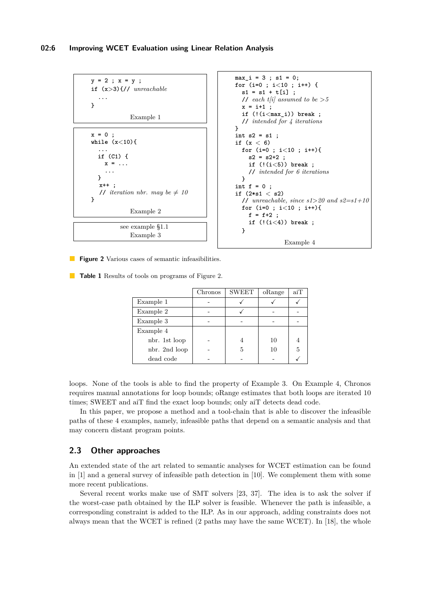<span id="page-5-1"></span>

**Figure 2** Various cases of semantic infeasibilities.

<span id="page-5-2"></span>**Table 1** Results of tools on programs of Figure [2.](#page-5-1)

|               | Chronos | <b>SWEET</b> | oRange | aiT |
|---------------|---------|--------------|--------|-----|
| Example 1     |         |              |        |     |
| Example 2     |         |              |        |     |
| Example 3     |         |              |        |     |
| Example 4     |         |              |        |     |
| nbr. 1st loop |         |              | 10     |     |
| nbr. 2nd loop |         | 5            | 10     | 5   |
| dead code     |         |              |        |     |

loops. None of the tools is able to find the property of Example 3. On Example 4, Chronos requires manual annotations for loop bounds; oRange estimates that both loops are iterated 10 times; SWEET and aiT find the exact loop bounds; only aiT detects dead code.

In this paper, we propose a method and a tool-chain that is able to discover the infeasible paths of these 4 examples, namely, infeasible paths that depend on a semantic analysis and that may concern distant program points.

#### <span id="page-5-0"></span>**2.3 Other approaches**

An extended state of the art related to semantic analyses for WCET estimation can be found in [\[1\]](#page-18-4) and a general survey of infeasible path detection in [\[10\]](#page-19-6). We complement them with some more recent publications.

Several recent works make use of SMT solvers [\[23,](#page-19-10) [37\]](#page-20-5). The idea is to ask the solver if the worst-case path obtained by the ILP solver is feasible. Whenever the path is infeasible, a corresponding constraint is added to the ILP. As in our approach, adding constraints does not always mean that the WCET is refined (2 paths may have the same WCET). In [\[18\]](#page-19-11), the whole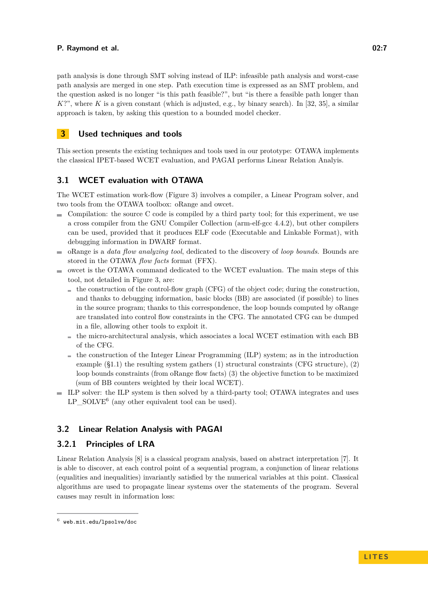path analysis is done through SMT solving instead of ILP: infeasible path analysis and worst-case path analysis are merged in one step. Path execution time is expressed as an SMT problem, and the question asked is no longer "is this path feasible?", but "is there a feasible path longer than  $K$ ?", where  $K$  is a given constant (which is adjusted, e.g., by binary search). In [\[32,](#page-19-12) [35\]](#page-20-6), a similar approach is taken, by asking this question to a bounded model checker.

### <span id="page-6-0"></span>**3 Used techniques and tools**

This section presents the existing techniques and tools used in our prototype: OTAWA implements the classical IPET-based WCET evaluation, and PAGAI performs Linear Relation Analyis.

### **3.1 WCET evaluation with OTAWA**

The WCET estimation work-flow (Figure [3\)](#page-7-0) involves a compiler, a Linear Program solver, and two tools from the OTAWA toolbox: oRange and owcet.

- $\blacksquare$  Compilation: the source C code is compiled by a third party tool; for this experiment, we use a cross compiler from the GNU Compiler Collection (arm-elf-gcc 4.4.2), but other compilers can be used, provided that it produces ELF code (Executable and Linkable Format), with debugging information in DWARF format.
- oRange is a *data flow analyzing tool*, dedicated to the discovery of *loop bounds*. Bounds are stored in the OTAWA *flow facts* format (FFX).
- owcet is the OTAWA command dedicated to the WCET evaluation. The main steps of this ÷. tool, not detailed in Figure [3,](#page-7-0) are:
	- $\blacksquare$  the construction of the control-flow graph (CFG) of the object code; during the construction, and thanks to debugging information, basic blocks (BB) are associated (if possible) to lines in the source program; thanks to this correspondence, the loop bounds computed by oRange are translated into control flow constraints in the CFG. The annotated CFG can be dumped in a file, allowing other tools to exploit it.
	- $\blacksquare$  the micro-architectural analysis, which associates a local WCET estimation with each BB of the CFG.
	- $\blacksquare$  the construction of the Integer Linear Programming (ILP) system; as in the introduction example ([§1.1\)](#page-2-2) the resulting system gathers (1) structural constraints (CFG structure), (2) loop bounds constraints (from oRange flow facts) (3) the objective function to be maximized (sum of BB counters weighted by their local WCET).
- ILP solver: the ILP system is then solved by a third-party tool; OTAWA integrates and uses LP\_SOLVE<sup>[6](#page-6-1)</sup> (any other equivalent tool can be used).

### **3.2 Linear Relation Analysis with PAGAI**

### **3.2.1 Principles of LRA**

Linear Relation Analysis [\[8\]](#page-19-3) is a classical program analysis, based on abstract interpretation [\[7\]](#page-18-6). It is able to discover, at each control point of a sequential program, a conjunction of linear relations (equalities and inequalities) invariantly satisfied by the numerical variables at this point. Classical algorithms are used to propagate linear systems over the statements of the program. Several causes may result in information loss:

<span id="page-6-1"></span> $^6$  <web.mit.edu/lpsolve/doc>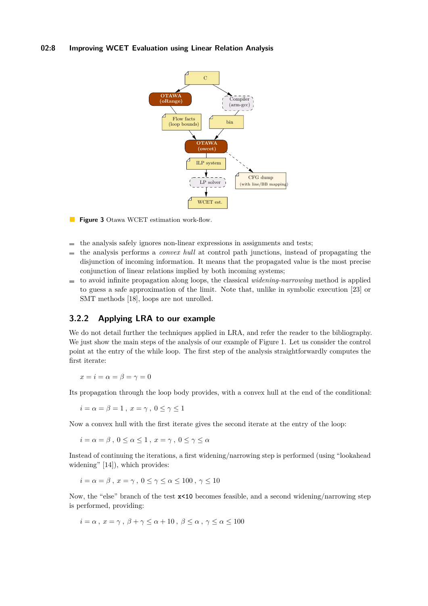#### <span id="page-7-0"></span>**02:8 Improving WCET Evaluation using Linear Relation Analysis**



**Figure 3** Otawa WCET estimation work-flow.

- the analysis safely ignores non-linear expressions in assignments and tests;  $\sim$
- the analysis performs a *convex hull* at control path junctions, instead of propagating the m. disjunction of incoming information. It means that the propagated value is the most precise conjunction of linear relations implied by both incoming systems;
- to avoid infinite propagation along loops, the classical *widening-narrowing* method is applied to guess a safe approximation of the limit. Note that, unlike in symbolic execution [\[23\]](#page-19-10) or SMT methods [\[18\]](#page-19-11), loops are not unrolled.

### **3.2.2 Applying LRA to our example**

We do not detail further the techniques applied in LRA, and refer the reader to the bibliography. We just show the main steps of the analysis of our example of Figure [1.](#page-2-0) Let us consider the control point at the entry of the while loop. The first step of the analysis straightforwardly computes the first iterate:

 $x = i = \alpha = \beta = \gamma = 0$ 

Its propagation through the loop body provides, with a convex hull at the end of the conditional:

 $i = \alpha = \beta = 1$ ,  $x = \gamma$ ,  $0 \le \gamma \le 1$ 

Now a convex hull with the first iterate gives the second iterate at the entry of the loop:

 $i = \alpha = \beta$ ,  $0 \leq \alpha \leq 1$ ,  $x = \gamma$ ,  $0 \leq \gamma \leq \alpha$ 

Instead of continuing the iterations, a first widening/narrowing step is performed (using "lookahead widening" [\[14\]](#page-19-13)), which provides:

$$
i = \alpha = \beta \, , \, x = \gamma \, , \, 0 \le \gamma \le \alpha \le 100 \, , \, \gamma \le 10
$$

Now, the "else" branch of the test **x<10** becomes feasible, and a second widening/narrowing step is performed, providing:

$$
i = \alpha \, , \, x = \gamma \, , \, \beta + \gamma \leq \alpha + 10 \, , \, \beta \leq \alpha \, , \, \gamma \leq \alpha \leq 100
$$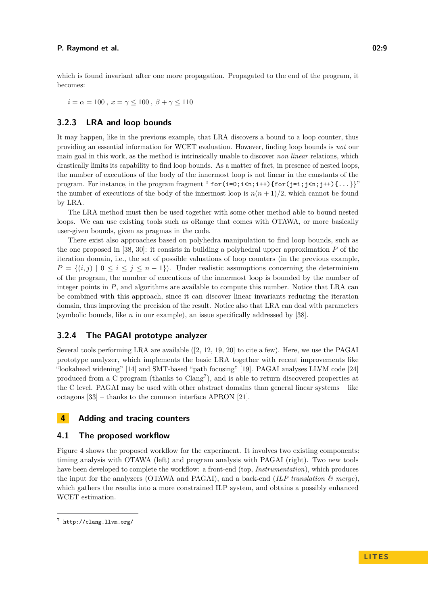which is found invariant after one more propagation. Propagated to the end of the program, it becomes:

 $i = \alpha = 100$ ,  $x = \gamma \le 100$ ,  $\beta + \gamma \le 110$ 

### <span id="page-8-2"></span>**3.2.3 LRA and loop bounds**

It may happen, like in the previous example, that LRA discovers a bound to a loop counter, thus providing an essential information for WCET evaluation. However, finding loop bounds is *not* our main goal in this work, as the method is intrinsically unable to discover *non linear* relations, which drastically limits its capability to find loop bounds. As a matter of fact, in presence of nested loops, the number of executions of the body of the innermost loop is not linear in the constants of the program. For instance, in the program fragment " $\text{for}(i=0; i \leq n; i++)$  { $\text{for}(i=i; j \leq n; i++)$ }" the number of executions of the body of the innermost loop is  $n(n+1)/2$ , which cannot be found by LRA.

The LRA method must then be used together with some other method able to bound nested loops. We can use existing tools such as oRange that comes with OTAWA, or more basically user-given bounds, given as pragmas in the code.

There exist also approaches based on polyhedra manipulation to find loop bounds, such as the one proposed in [\[38,](#page-20-7) [30\]](#page-19-14): it consists in building a polyhedral upper approximation *P* of the iteration domain, i.e., the set of possible valuations of loop counters (in the previous example,  $P = \{(i, j) | 0 \le i \le j \le n - 1\}$ . Under realistic assumptions concerning the determinism of the program, the number of executions of the innermost loop is bounded by the number of integer points in *P*, and algorithms are available to compute this number. Notice that LRA can be combined with this approach, since it can discover linear invariants reducing the iteration domain, thus improving the precision of the result. Notice also that LRA can deal with parameters (symbolic bounds, like *n* in our example), an issue specifically addressed by [\[38\]](#page-20-7).

### **3.2.4 The PAGAI prototype analyzer**

Several tools performing LRA are available ([\[2,](#page-18-3) [12,](#page-19-15) [19,](#page-19-16) [20\]](#page-19-5) to cite a few). Here, we use the PAGAI prototype analyzer, which implements the basic LRA together with recent improvements like "lookahead widening" [\[14\]](#page-19-13) and SMT-based "path focusing" [\[19\]](#page-19-16). PAGAI analyses LLVM code [\[24\]](#page-19-17) produced from a C program (thanks to Clang<sup>[7](#page-8-1)</sup>), and is able to return discovered properties at the C level. PAGAI may be used with other abstract domains than general linear systems – like octagons [\[33\]](#page-19-18) – thanks to the common interface APRON [\[21\]](#page-19-19).

### <span id="page-8-0"></span>**4 Adding and tracing counters**

#### **4.1 The proposed workflow**

Figure [4](#page-9-0) shows the proposed workflow for the experiment. It involves two existing components: timing analysis with OTAWA (left) and program analysis with PAGAI (right). Two new tools have been developed to complete the workflow: a front-end (top, *Instrumentation*), which produces the input for the analyzers (OTAWA and PAGAI), and a back-end (*ILP translation & merge*), which gathers the results into a more constrained ILP system, and obtains a possibly enhanced WCET estimation.

<span id="page-8-1"></span><sup>7</sup> <http://clang.llvm.org/>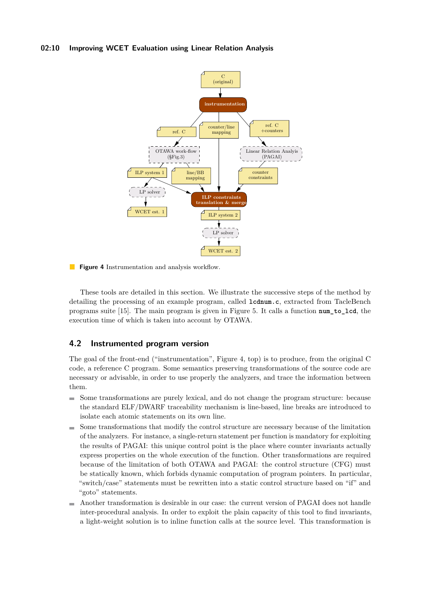#### <span id="page-9-0"></span>**02:10 Improving WCET Evaluation using Linear Relation Analysis**



**Figure 4** Instrumentation and analysis workflow.

These tools are detailed in this section. We illustrate the successive steps of the method by detailing the processing of an example program, called **lcdnum.c**, extracted from TacleBench programs suite [\[15\]](#page-19-20). The main program is given in Figure [5.](#page-11-0) It calls a function **num\_to\_lcd**, the execution time of which is taken into account by OTAWA.

### <span id="page-9-1"></span>**4.2 Instrumented program version**

The goal of the front-end ("instrumentation", Figure [4,](#page-9-0) top) is to produce, from the original C code, a reference C program. Some semantics preserving transformations of the source code are necessary or advisable, in order to use properly the analyzers, and trace the information between them.

- Some transformations are purely lexical, and do not change the program structure: because the standard ELF/DWARF traceability mechanism is line-based, line breaks are introduced to isolate each atomic statements on its own line.
- Some transformations that modify the control structure are necessary because of the limitation of the analyzers. For instance, a single-return statement per function is mandatory for exploiting the results of PAGAI: this unique control point is the place where counter invariants actually express properties on the whole execution of the function. Other transformations are required because of the limitation of both OTAWA and PAGAI: the control structure (CFG) must be statically known, which forbids dynamic computation of program pointers. In particular, "switch/case" statements must be rewritten into a static control structure based on "if" and "goto" statements.
- Another transformation is desirable in our case: the current version of PAGAI does not handle  $\sim$ inter-procedural analysis. In order to exploit the plain capacity of this tool to find invariants, a light-weight solution is to inline function calls at the source level. This transformation is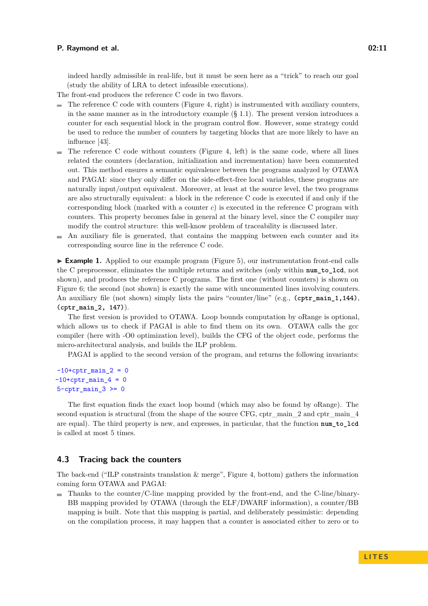indeed hardly admissible in real-life, but it must be seen here as a "trick" to reach our goal (study the ability of LRA to detect infeasible executions).

The front-end produces the reference C code in two flavors.

- $\blacksquare$  The reference C code with counters (Figure [4,](#page-9-0) right) is instrumented with auxiliary counters, in the same manner as in the introductory example  $(\S 1.1)$  $(\S 1.1)$ . The present version introduces a counter for each sequential block in the program control flow. However, some strategy could be used to reduce the number of counters by targeting blocks that are more likely to have an influence [\[43\]](#page-20-8).
- $\blacksquare$  The reference C code without counters (Figure [4,](#page-9-0) left) is the same code, where all lines related the counters (declaration, initialization and incrementation) have been commented out. This method ensures a semantic equivalence between the programs analyzed by OTAWA and PAGAI: since they only differ on the side-effect-free local variables, these programs are naturally input/output equivalent. Moreover, at least at the source level, the two programs are also structurally equivalent: a block in the reference C code is executed if and only if the corresponding block (marked with a counter *c*) is executed in the reference C program with counters. This property becomes false in general at the binary level, since the C compiler may modify the control structure: this well-know problem of traceability is discussed later.
- An auxiliary file is generated, that contains the mapping between each counter and its  $\blacksquare$ corresponding source line in the reference C code.

▶ **Example 1.** Applied to our example program (Figure [5\)](#page-11-0), our instrumentation front-end calls the C preprocessor, eliminates the multiple returns and switches (only within **num\_to\_lcd**, not shown), and produces the reference C programs. The first one (without counters) is shown on Figure [6;](#page-11-1) the second (not shown) is exactly the same with uncommented lines involving counters. An auxiliary file (not shown) simply lists the pairs "counter/line" (e.g., **(cptr\_main\_1,144)**, **(cptr\_main\_2, 147)**).

The first version is provided to OTAWA. Loop bounds computation by oRange is optional, which allows us to check if PAGAI is able to find them on its own. OTAWA calls the gcc compiler (here with -O0 optimization level), builds the CFG of the object code, performs the micro-architectural analysis, and builds the ILP problem.

PAGAI is applied to the second version of the program, and returns the following invariants:

 $-10+$ cptr\_main\_2 = 0  $-10+$ cptr\_main\_4 = 0  $5$ -cptr\_main\_3 >= 0

The first equation finds the exact loop bound (which may also be found by oRange). The second equation is structural (from the shape of the source CFG, cptr\_main\_2 and cptr\_main\_4 are equal). The third property is new, and expresses, in particular, that the function **num\_to\_lcd** is called at most 5 times.

### <span id="page-10-0"></span>**4.3 Tracing back the counters**

The back-end ("ILP constraints translation  $\&$  merge", Figure [4,](#page-9-0) bottom) gathers the information coming form OTAWA and PAGAI:

Thanks to the counter/C-line mapping provided by the front-end, and the C-line/binary-BB mapping provided by OTAWA (through the ELF/DWARF information), a counter/BB mapping is built. Note that this mapping is partial, and deliberately pessimistic: depending on the compilation process, it may happen that a counter is associated either to zero or to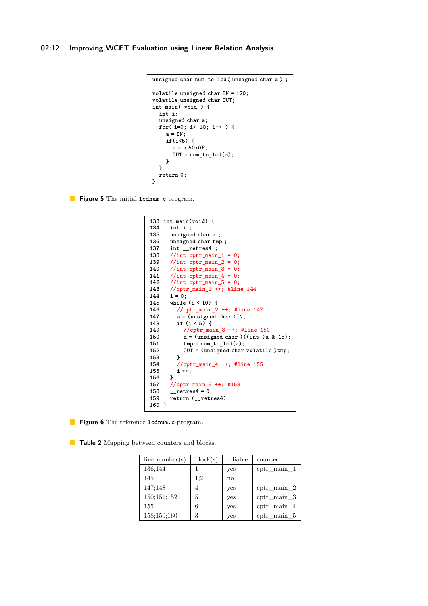```
unsigned char num_to_lcd( unsigned char a ) ;
volatile unsigned char IN = 120;
volatile unsigned char OUT;
int main( void ) {
  int i;
  unsigned char a;
  for( i=0; i< 10; i++ ) {
    a = IN;if(i<5) {
      a = a &0x0F;
      OUT = num_to_lcd(a);
    }
  }
  return 0;
}
```
<span id="page-11-1"></span>**Figure 5** The initial **lcdnum.c** program.

```
133 int main(void) {
134 int i ;
      135 unsigned char a ;
136 unsigned char tmp;<br>137 int __retres4;
137 int __retres4 ;
      138 //int cptr_main_1 = 0;
139 //int cptr_main_2 = 0;
      140 //int cptr_main_3 = 0;
141 //int cptr_main_4 = 0;
142 //int cptr_main_5 = 0;
143 //cptr_main_1 ++; #line 144
144 i = 0;
145 while (i < 10) {
        146 //cptr_main_2 ++; #line 147
147 a = (unsigned char )IN;
        148 if (i < 5) {
149 //cptr_main_3 ++; #line 150
150 a = (unsigned char )((int )a & 15);
          tmp = num_to\_lcd(a);152 OUT = (unsigned char volatile )tmp;
153 }
         154 //cptr_main_4 ++; #line 155
155 i ++;
156 }
157 //cptr_main_5 ++; #158
158 __retres4 = 0;
      159 return (__retres4);
160 }
```
**Figure 6** The reference **lcdnum.c** program.

<span id="page-11-2"></span>**Table 2** Mapping between counters and blocks.

| line number(s) | block(s) | reliable               | counter               |
|----------------|----------|------------------------|-----------------------|
| 136,144        |          | yes                    | $cptr\_main\_1$       |
| 145            | 1:2      | $\mathbf{n}\mathbf{o}$ |                       |
| 147:148        | 4        | yes                    | $cptr\_main\_2$       |
| 150;151;152    | 5        | yes                    | $cptr\_main\_3$       |
| 155            | 6        | yes                    | ${\rm cptr\_main\_4}$ |
| 158;159;160    | 3        | yes                    | $cptr\_main\_5$       |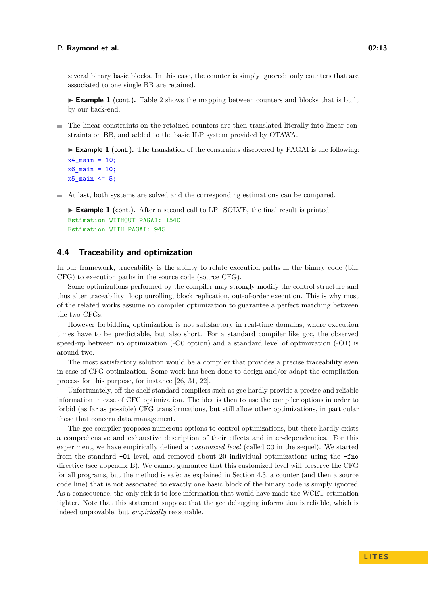several binary basic blocks. In this case, the counter is simply ignored: only counters that are associated to one single BB are retained.

▶ **Example 1** (cont.). Table [2](#page-11-2) shows the mapping between counters and blocks that is built by our back-end.

The linear constraints on the retained counters are then translated literally into linear constraints on BB, and added to the basic ILP system provided by OTAWA.

▶ **Example 1** (cont.). The translation of the constraints discovered by PAGAI is the following:

```
x4<sup>nain</sup> = 10;
x6_main = 10;
x5_main \leq 5;
```
At last, both systems are solved and the corresponding estimations can be compared.

```
▶ Example 1 (cont.). After a second call to LP_SOLVE, the final result is printed:
Estimation WITHOUT PAGAI: 1540
Estimation WITH PAGAI: 945
```
#### <span id="page-12-0"></span>**4.4 Traceability and optimization**

In our framework, traceability is the ability to relate execution paths in the binary code (bin. CFG) to execution paths in the source code (source CFG).

Some optimizations performed by the compiler may strongly modify the control structure and thus alter traceability: loop unrolling, block replication, out-of-order execution. This is why most of the related works assume no compiler optimization to guarantee a perfect matching between the two CFGs.

However forbidding optimization is not satisfactory in real-time domains, where execution times have to be predictable, but also short. For a standard compiler like gcc, the observed speed-up between no optimization (-O0 option) and a standard level of optimization (-O1) is around two.

The most satisfactory solution would be a compiler that provides a precise traceability even in case of CFG optimization. Some work has been done to design and/or adapt the compilation process for this purpose, for instance [\[26,](#page-19-21) [31,](#page-19-22) [22\]](#page-19-23).

Unfortunately, off-the-shelf standard compilers such as gcc hardly provide a precise and reliable information in case of CFG optimization. The idea is then to use the compiler options in order to forbid (as far as possible) CFG transformations, but still allow other optimizations, in particular those that concern data management.

The gcc compiler proposes numerous options to control optimizations, but there hardly exists a comprehensive and exhaustive description of their effects and inter-dependencies. For this experiment, we have empirically defined a *customized level* (called CO in the sequel). We started from the standard -O1 level, and removed about 20 individual optimizations using the -fno directive (see appendix [B\)](#page-26-0). We cannot guarantee that this customized level will preserve the CFG for all programs, but the method is safe: as explained in Section [4.3,](#page-10-0) a counter (and then a source code line) that is not associated to exactly one basic block of the binary code is simply ignored. As a consequence, the only risk is to lose information that would have made the WCET estimation tighter. Note that this statement suppose that the gcc debugging information is reliable, which is indeed unprovable, but *empirically* reasonable.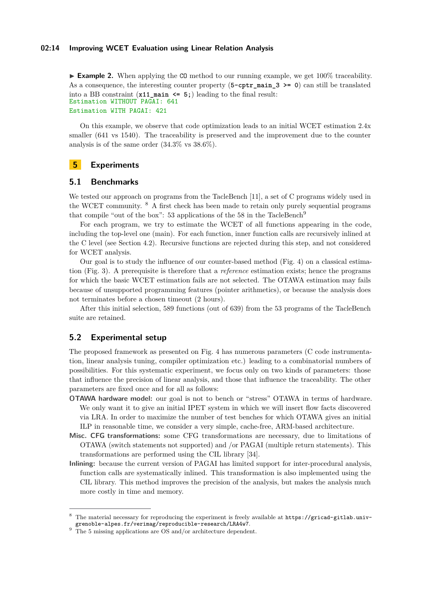#### **02:14 Improving WCET Evaluation using Linear Relation Analysis**

▶ **Example 2.** When applying the C<sub>0</sub> method to our running example, we get 100% traceability. As a consequence, the interesting counter property (5-cptr main 3 >= 0) can still be translated into a BB constraint (**x11\_main <= 5;**) leading to the final result: Estimation WITHOUT PAGAI: 641 Estimation WITH PAGAI: 421

On this example, we observe that code optimization leads to an initial WCET estimation 2.4x smaller (641 vs 1540). The traceability is preserved and the improvement due to the counter analysis is of the same order (34.3% vs 38.6%).

### <span id="page-13-0"></span>**5 Experiments**

### **5.1 Benchmarks**

We tested our approach on programs from the TacleBench [\[11\]](#page-19-24), a set of C programs widely used in the WCET community. [8](#page-13-1) A first check has been made to retain only purely sequential programs that compile "out of the box": 53 applications of the 58 in the TacleBench<sup>[9](#page-13-2)</sup>

For each program, we try to estimate the WCET of all functions appearing in the code, including the top-level one (main). For each function, inner function calls are recursively inlined at the C level (see Section [4.2\)](#page-9-1). Recursive functions are rejected during this step, and not considered for WCET analysis.

Our goal is to study the influence of our counter-based method (Fig. [4\)](#page-9-0) on a classical estimation (Fig. [3\)](#page-7-0). A prerequisite is therefore that a *reference* estimation exists; hence the programs for which the basic WCET estimation fails are not selected. The OTAWA estimation may fails because of unsupported programming features (pointer arithmetics), or because the analysis does not terminates before a chosen timeout (2 hours).

After this initial selection, 589 functions (out of 639) from the 53 programs of the TacleBench suite are retained.

#### **5.2 Experimental setup**

The proposed framework as presented on Fig. [4](#page-9-0) has numerous parameters (C code instrumentation, linear analysis tuning, compiler optimization etc.) leading to a combinatorial numbers of possibilities. For this systematic experiment, we focus only on two kinds of parameters: those that influence the precision of linear analysis, and those that influence the traceability. The other parameters are fixed once and for all as follows:

- **OTAWA hardware model:** our goal is not to bench or "stress" OTAWA in terms of hardware. We only want it to give an initial IPET system in which we will insert flow facts discovered via LRA. In order to maximize the number of test benches for which OTAWA gives an initial ILP in reasonable time, we consider a very simple, cache-free, ARM-based architecture.
- **Misc. CFG transformations:** some CFG transformations are necessary, due to limitations of OTAWA (switch statements not supported) and /or PAGAI (multiple return statements). This transformations are performed using the CIL library [\[34\]](#page-20-9).
- **Inlining:** because the current version of PAGAI has limited support for inter-procedural analysis, function calls are systematically inlined. This transformation is also implemented using the CIL library. This method improves the precision of the analysis, but makes the analysis much more costly in time and memory.

<span id="page-13-1"></span>The material necessary for reproducing the experiment is freely available at [https://gricad-gitlab.univ](https://gricad-gitlab.univ-grenoble-alpes.fr/verimag/reproducible-research/LRA4w7)[grenoble-alpes.fr/verimag/reproducible-research/LRA4w7](https://gricad-gitlab.univ-grenoble-alpes.fr/verimag/reproducible-research/LRA4w7).

<span id="page-13-2"></span> $9 \text{ The } 5 \text{ missing applications are OS and/or architecture dependent.}$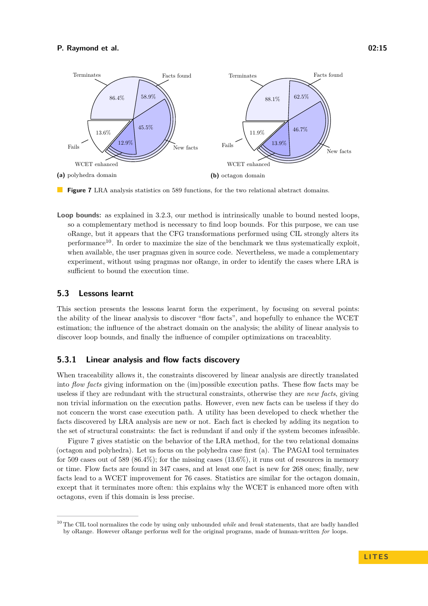<span id="page-14-1"></span>

**Figure 7** LRA analysis statistics on 589 functions, for the two relational abstract domains.

**Loop bounds:** as explained in [3.2.3,](#page-8-2) our method is intrinsically unable to bound nested loops, so a complementary method is necessary to find loop bounds. For this purpose, we can use oRange, but it appears that the CFG transformations performed using CIL strongly alters its performance<sup>[10](#page-14-0)</sup>. In order to maximize the size of the benchmark we thus systematically exploit, when available, the user pragmas given in source code. Nevertheless, we made a complementary experiment, without using pragmas nor oRange, in order to identify the cases where LRA is sufficient to bound the execution time.

#### **5.3 Lessons learnt**

This section presents the lessons learnt form the experiment, by focusing on several points: the ability of the linear analysis to discover "flow facts", and hopefully to enhance the WCET estimation; the influence of the abstract domain on the analysis; the ability of linear analysis to discover loop bounds, and finally the influence of compiler optimizations on traceablity.

### **5.3.1 Linear analysis and flow facts discovery**

When traceability allows it, the constraints discovered by linear analysis are directly translated into *flow facts* giving information on the (im)possible execution paths. These flow facts may be useless if they are redundant with the structural constraints, otherwise they are *new facts*, giving non trivial information on the execution paths. However, even new facts can be useless if they do not concern the worst case execution path. A utility has been developed to check whether the facts discovered by LRA analysis are new or not. Each fact is checked by adding its negation to the set of structural constraints: the fact is redundant if and only if the system becomes infeasible.

Figure [7](#page-14-1) gives statistic on the behavior of the LRA method, for the two relational domains (octagon and polyhedra). Let us focus on the polyhedra case first (a). The PAGAI tool terminates for 509 cases out of 589  $(86.4\%)$ ; for the missing cases  $(13.6\%)$ , it runs out of resources in memory or time. Flow facts are found in 347 cases, and at least one fact is new for 268 ones; finally, new facts lead to a WCET improvement for 76 cases. Statistics are similar for the octagon domain, except that it terminates more often: this explains why the WCET is enhanced more often with octagons, even if this domain is less precise.

<span id="page-14-0"></span><sup>10</sup> The CIL tool normalizes the code by using only unbounded *while* and *break* statements, that are badly handled by oRange. However oRange performs well for the original programs, made of human-written *for* loops.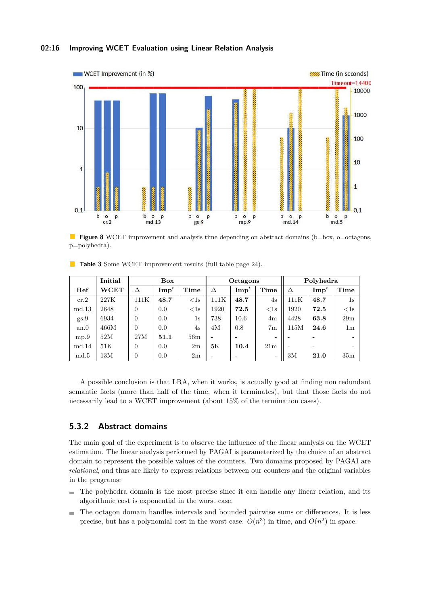### **02:16 Improving WCET Evaluation using Linear Relation Analysis**



**Figure 8** WCET improvement and analysis time depending on abstract domains (b=box, o=octagons, p=polyhedra).

|                | Initial     | Box            |                  |        | Octagons                 |                    |                          | Polyhedra |                        |                              |
|----------------|-------------|----------------|------------------|--------|--------------------------|--------------------|--------------------------|-----------|------------------------|------------------------------|
| Ref            | <b>WCET</b> | Δ              | $\mathbf{Imp}^t$ | Time   | Δ                        | $\mathbf{Imp}^{t}$ | Time                     | $\Delta$  | $\mathrm{Imp}^{\iota}$ | Time                         |
| cr.2           | 227K        | 111K           | 48.7             | $<$ 1s | 111K                     | 48.7               | 4s                       | 111K      | 48.7                   | 1s                           |
| $_{\rm md.13}$ | 2648        | 0              | 0.0              | $<$ 1s | 1920                     | 72.5               | $<$ 1s                   | 1920      | 72.5                   | <1s                          |
| gs.9           | 6934        | $\Omega$       | 0.0              | 1s     | 738                      | 10.6               | 4m                       | 4428      | 63.8                   | 29m                          |
| an.0           | 466M        | $\Omega$       | 0.0              | 4s     | 4M                       | 0.8                | 7 <sub>m</sub>           | 115M      | 24.6                   | 1m                           |
| mp.9           | 52M         | 27M            | 51.1             | 56m    | $\overline{\phantom{0}}$ | -                  | $\overline{\phantom{0}}$ |           |                        | $\overline{\phantom{0}}$     |
| md.14          | 51K         | $\theta$       | 0.0              | 2m     | 5K                       | 10.4               | 21 <sub>m</sub>          |           | -                      | $\qquad \qquad \blacksquare$ |
| $_{\rm md.5}$  | 13M         | $\overline{0}$ | 0.0              | 2m     | $\overline{\phantom{0}}$ | -                  | -                        | 3M        | 21.0                   | 35m                          |

<span id="page-15-0"></span>**Table 3** Some WCET improvement results (full table page [24\)](#page-23-0).

A possible conclusion is that LRA, when it works, is actually good at finding non redundant semantic facts (more than half of the time, when it terminates), but that those facts do not necessarily lead to a WCET improvement (about 15% of the termination cases).

### **5.3.2 Abstract domains**

The main goal of the experiment is to observe the influence of the linear analysis on the WCET estimation. The linear analysis performed by PAGAI is parameterized by the choice of an abstract domain to represent the possible values of the counters. Two domains proposed by PAGAI are *relational*, and thus are likely to express relations between our counters and the original variables in the programs:

- The polyhedra domain is the most precise since it can handle any linear relation, and its algorithmic cost is exponential in the worst case.
- The octagon domain handles intervals and bounded pairwise sums or differences. It is less precise, but has a polynomial cost in the worst case:  $O(n^3)$  in time, and  $O(n^2)$  in space.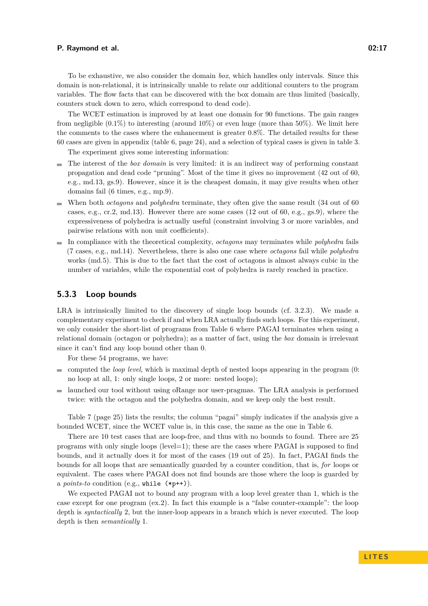To be exhaustive, we also consider the domain *box*, which handles only intervals. Since this domain is non-relational, it is intrinsically unable to relate our additional counters to the program variables. The flow facts that can be discovered with the box domain are thus limited (basically, counters stuck down to zero, which correspond to dead code).

The WCET estimation is improved by at least one domain for 90 functions. The gain ranges from negligible  $(0.1\%)$  to interesting (around  $10\%$ ) or even huge (more than  $50\%$ ). We limit here the comments to the cases where the enhancement is greater 0.8%. The detailed results for these 60 cases are given in appendix (table [6,](#page-23-0) page [24\)](#page-23-0), and a selection of typical cases is given in table [3.](#page-15-0)

The experiment gives some interesting information:

- $\blacksquare$  The interest of the *box domain* is very limited: it is an indirect way of performing constant propagation and dead code "pruning". Most of the time it gives no improvement (42 out of 60, e.g., md.13, gs.9). However, since it is the cheapest domain, it may give results when other domains fail (6 times, e.g., mp.9).
- When both *octagons* and *polyhedra* terminate, they often give the same result (34 out of 60 cases, e.g., cr.2, md.13). However there are some cases  $(12 \text{ out of } 60, e.g., gs.9)$ , where the expressiveness of polyhedra is actually useful (constraint involving 3 or more variables, and pairwise relations with non unit coefficients).
- In compliance with the theoretical complexity, *octagons* may terminates while *polyhedra* fails (7 cases, e.g., md.14). Nevertheless, there is also one case where *octagons* fail while *polyhedra* works (md.5). This is due to the fact that the cost of octagons is almost always cubic in the number of variables, while the exponential cost of polyhedra is rarely reached in practice.

### **5.3.3 Loop bounds**

LRA is intrinsically limited to the discovery of single loop bounds (cf. [3.2.3\)](#page-8-2). We made a complementary experiment to check if and when LRA actually finds such loops. For this experiment, we only consider the short-list of programs from Table [6](#page-23-0) where PAGAI terminates when using a relational domain (octagon or polyhedra); as a matter of fact, using the *box* domain is irrelevant since it can't find any loop bound other than 0.

For these 54 programs, we have:

- computed the *loop level*, which is maximal depth of nested loops appearing in the program (0: no loop at all, 1: only single loops, 2 or more: nested loops);
- launched our tool without using oRange nor user-pragmas. The LRA analysis is performed twice: with the octagon and the polyhedra domain, and we keep only the best result.

Table [7](#page-24-0) (page [25\)](#page-24-0) lists the results; the column "pagai" simply indicates if the analysis give a bounded WCET, since the WCET value is, in this case, the same as the one in Table [6.](#page-23-0)

There are 10 test cases that are loop-free, and thus with no bounds to found. There are 25 programs with only single loops (level=1); these are the cases where PAGAI is supposed to find bounds, and it actually does it for most of the cases (19 out of 25). In fact, PAGAI finds the bounds for all loops that are semantically guarded by a counter condition, that is, *for* loops or equivalent. The cases where PAGAI does not find bounds are those where the loop is guarded by a *points-to* condition (e.g., while (\*p++)).

We expected PAGAI not to bound any program with a loop level greater than 1, which is the case except for one program (ex.2). In fact this example is a "false counter-example": the loop depth is *syntactically* 2, but the inner-loop appears in a branch which is never executed. The loop depth is then *semantically* 1.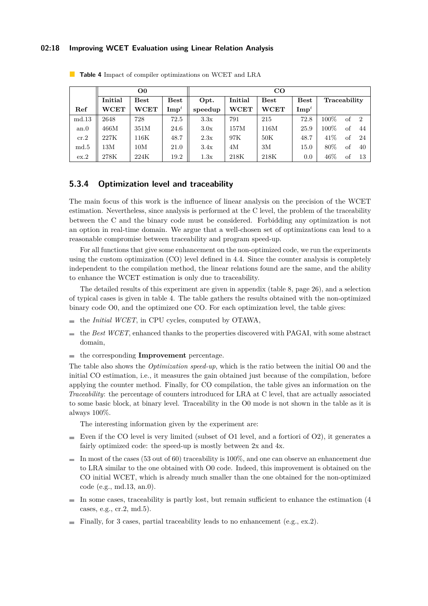#### **02:18 Improving WCET Evaluation using Linear Relation Analysis**

|               |            | O <sub>0</sub> |                  | $_{\rm CO}$                                     |             |             |                  |              |    |               |  |
|---------------|------------|----------------|------------------|-------------------------------------------------|-------------|-------------|------------------|--------------|----|---------------|--|
|               | Initial    | $_{\rm Best}$  | <b>Best</b>      | Initial<br>Opt.<br>$_{\rm Best}$<br><b>Best</b> |             |             |                  | Traceability |    |               |  |
| Ref           | $\rm WCET$ | <b>WCET</b>    | $\mathbf{Imp}^t$ | speedup                                         | <b>WCET</b> | <b>WCET</b> | $\mathbf{Imp}^t$ |              |    |               |  |
| md.13         | 2648       | 728            | 72.5             | 3.3x                                            | 791         | 215         | 72.8             | 100%         | of | $\mathcal{D}$ |  |
| an.0          | 466M       | 351M           | 24.6             | 3.0x                                            | 157M        | 116M        | 25.9             | 100%         | of | 44            |  |
| cr.2          | 227K       | 116K           | 48.7             | 2.3x                                            | 97K         | 50K         | 48.7             | 41%          | of | 24            |  |
| $_{\rm md.5}$ | 13M        | 10M            | 21.0             | 3.4x                                            | 4M          | 3M          | 15.0             | 80\%         | of | 40            |  |
| ex.2          | 278K       | 224K           | 19.2             | 1.3x                                            | 218K        | 218K        | 0.0              | $46\%$       | Ωt | 13            |  |

<span id="page-17-0"></span>**Table 4** Impact of compiler optimizations on WCET and LRA

### **5.3.4 Optimization level and traceability**

The main focus of this work is the influence of linear analysis on the precision of the WCET estimation. Nevertheless, since analysis is performed at the C level, the problem of the traceability between the C and the binary code must be considered. Forbidding any optimization is not an option in real-time domain. We argue that a well-chosen set of optimizations can lead to a reasonable compromise between traceability and program speed-up.

For all functions that give some enhancement on the non-optimized code, we run the experiments using the custom optimization (CO) level defined in [4.4.](#page-12-0) Since the counter analysis is completely independent to the compilation method, the linear relations found are the same, and the ability to enhance the WCET estimation is only due to traceability.

The detailed results of this experiment are given in appendix (table [8,](#page-25-0) page [26\)](#page-25-0), and a selection of typical cases is given in table [4.](#page-17-0) The table gathers the results obtained with the non-optimized binary code O0, and the optimized one CO. For each optimization level, the table gives:

- the *Initial WCET*, in CPU cycles, computed by OTAWA,
- $\blacksquare$  the *Best WCET*, enhanced thanks to the properties discovered with PAGAI, with some abstract domain,
- the corresponding **Improvement** percentage.

The table also shows the *Optimization speed-up*, which is the ratio between the initial O0 and the initial CO estimation, i.e., it measures the gain obtained just because of the compilation, before applying the counter method. Finally, for CO compilation, the table gives an information on the *Traceability*: the percentage of counters introduced for LRA at C level, that are actually associated to some basic block, at binary level. Traceability in the O0 mode is not shown in the table as it is always 100%.

The interesting information given by the experiment are:

- Even if the CO level is very limited (subset of O1 level, and a fortiori of O2), it generates a fairly optimized code: the speed-up is mostly between 2x and 4x.
- $\blacksquare$  In most of the cases (53 out of 60) traceability is 100%, and one can observe an enhancement due to LRA similar to the one obtained with O0 code. Indeed, this improvement is obtained on the CO initial WCET, which is already much smaller than the one obtained for the non-optimized code (e.g., md.13, an.0).
- $\blacksquare$  In some cases, traceability is partly lost, but remain sufficient to enhance the estimation (4 cases, e.g., cr.2, md.5).
- Finally, for 3 cases, partial traceability leads to no enhancement (e.g.,  $ex.2$ ).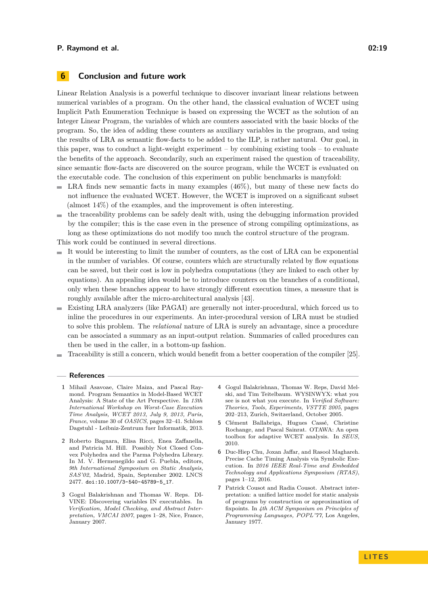### **6 Conclusion and future work**

Linear Relation Analysis is a powerful technique to discover invariant linear relations between numerical variables of a program. On the other hand, the classical evaluation of WCET using Implicit Path Enumeration Technique is based on expressing the WCET as the solution of an Integer Linear Program, the variables of which are counters associated with the basic blocks of the program. So, the idea of adding these counters as auxiliary variables in the program, and using the results of LRA as semantic flow-facts to be added to the ILP, is rather natural. Our goal, in this paper, was to conduct a light-weight experiment – by combining existing tools – to evaluate the benefits of the approach. Secondarily, such an experiment raised the question of traceability, since semantic flow-facts are discovered on the source program, while the WCET is evaluated on the executable code. The conclusion of this experiment on public benchmarks is manyfold:

- $\blacksquare$  LRA finds new semantic facts in many examples (46%), but many of these new facts do not influence the evaluated WCET. However, the WCET is improved on a significant subset (almost 14%) of the examples, and the improvement is often interesting.
- $\blacksquare$  the traceability problems can be safely dealt with, using the debugging information provided by the compiler; this is the case even in the presence of strong compiling optimizations, as long as these optimizations do not modify too much the control structure of the program.

This work could be continued in several directions.

- $\blacksquare$  It would be interesting to limit the number of counters, as the cost of LRA can be exponential in the number of variables. Of course, counters which are structurally related by flow equations can be saved, but their cost is low in polyhedra computations (they are linked to each other by equations). An appealing idea would be to introduce counters on the branches of a conditional, only when these branches appear to have strongly different execution times, a measure that is roughly available after the micro-architectural analysis [\[43\]](#page-20-8).
- Existing LRA analyzers (like PAGAI) are generally not inter-procedural, which forced us to m. inline the procedures in our experiments. An inter-procedural version of LRA must be studied to solve this problem. The *relational* nature of LRA is surely an advantage, since a procedure can be associated a summary as an input-output relation. Summaries of called procedures can then be used in the caller, in a bottom-up fashion.
- Traceability is still a concern, which would benefit from a better cooperation of the compiler [\[25\]](#page-19-25).

#### **References**

- <span id="page-18-4"></span>**1** Mihail Asavoae, Claire Maiza, and Pascal Raymond. Program Semantics in Model-Based WCET Analysis: A State of the Art Perspective. In *13th International Workshop on Worst-Case Execution Time Analysis, WCET 2013, July 9, 2013, Paris, France*, volume 30 of *OASICS*, pages 32–41. Schloss Dagstuhl - Leibniz-Zentrum fuer Informatik, 2013.
- <span id="page-18-3"></span>**2** Roberto Bagnara, Elisa Ricci, Enea Zaffanella, and Patricia M. Hill. Possibly Not Closed Convex Polyhedra and the Parma Polyhedra Library. In M. V. Hermenegildo and G. Puebla, editors, *9th International Symposium on Static Analysis, SAS'02*, Madrid, Spain, September 2002. LNCS 2477. [doi:10.1007/3-540-45789-5\\_17](https://doi.org/10.1007/3-540-45789-5_17).
- <span id="page-18-1"></span>**3** Gogul Balakrishnan and Thomas W. Reps. DI-VINE: DIscovering variables IN executables. In *Verification, Model Checking, and Abstract Interpretation, VMCAI 2007*, pages 1–28, Nice, France, January 2007.
- <span id="page-18-2"></span>**4** Gogul Balakrishnan, Thomas W. Reps, David Melski, and Tim Teitelbaum. WYSINWYX: what you see is not what you execute. In *Verified Software: Theories, Tools, Experiments, VSTTE 2005*, pages 202–213, Zurich, Switzerland, October 2005.
- <span id="page-18-0"></span>**5** Clément Ballabriga, Hugues Cassé, Christine Rochange, and Pascal Sainrat. OTAWA: An open toolbox for adaptive WCET analysis. In *SEUS*, 2010.
- <span id="page-18-5"></span>**6** Duc-Hiep Chu, Joxan Jaffar, and Rasool Maghareh. Precise Cache Timing Analysis via Symbolic Execution. In *2016 IEEE Real-Time and Embedded Technology and Applications Symposium (RTAS)*, pages 1–12, 2016.
- <span id="page-18-6"></span>**7** Patrick Cousot and Radia Cousot. Abstract interpretation: a unified lattice model for static analysis of programs by construction or approximation of fixpoints. In *4th ACM Symposium on Principles of Programming Languages, POPL'77*, Los Angeles, January 1977.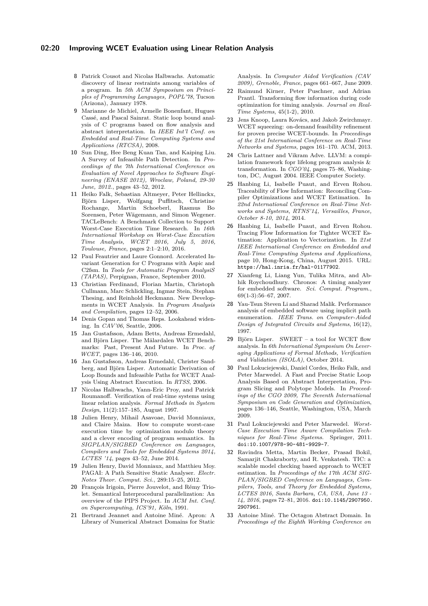#### **02:20 Improving WCET Evaluation using Linear Relation Analysis**

- <span id="page-19-3"></span>**8** Patrick Cousot and Nicolas Halbwachs. Automatic discovery of linear restraints among variables of a program. In *5th ACM Symposium on Principles of Programming Languages, POPL'78*, Tucson (Arizona), January 1978.
- <span id="page-19-9"></span>**9** Marianne de Michiel, Armelle Bonenfant, Hugues Cassé, and Pascal Sainrat. Static loop bound analysis of C programs based on flow analysis and abstract interpretation. In *IEEE Int'l Conf. on Embedded and Real-Time Computing Systems and Applications (RTCSA)*, 2008.
- <span id="page-19-6"></span>**10** Sun Ding, Hee Beng Kuan Tan, and Kaiping Liu. A Survey of Infeasible Path Detection. In *Proceedings of the 7th International Conference on Evaluation of Novel Approaches to Software Engineering (ENASE 2012), Wroclaw, Poland, 29-30 June, 2012.*, pages 43–52, 2012.
- <span id="page-19-24"></span>**11** Heiko Falk, Sebastian Altmeyer, Peter Hellinckx, Björn Lisper, Wolfgang Puffitsch, Christine Rochange, Martin Schoeberl, Rasmus Bo Sorensen, Peter Wägemann, and Simon Wegener. TACLeBench: A Benchmark Collection to Support Worst-Case Execution Time Research. In *16th International Workshop on Worst-Case Execution Time Analysis, WCET 2016, July 5, 2016, Toulouse, France*, pages 2:1–2:10, 2016.
- <span id="page-19-15"></span>**12** Paul Feautrier and Laure Gonnord. Accelerated Invariant Generation for C Programs with Aspic and C2fsm. In *Tools for Automatic Program AnalysiS (TAPAS)*, Perpignan, France, September 2010.
- <span id="page-19-8"></span>**13** Christian Ferdinand, Florian Martin, Christoph Cullmann, Marc Schlickling, Ingmar Stein, Stephan Thesing, and Reinhold Heckmann. New Developments in WCET Analysis. In *Program Analysis and Compilation*, pages 12–52, 2006.
- <span id="page-19-13"></span>**14** Denis Gopan and Thomas Reps. Lookahead widening. In *CAV'06*, Seattle, 2006.
- <span id="page-19-20"></span>**15** Jan Gustafsson, Adam Betts, Andreas Ermedahl, and Björn Lisper. The Mälardalen WCET Benchmarks: Past, Present And Future. In *Proc. of WCET*, pages 136–146, 2010.
- <span id="page-19-7"></span>**16** Jan Gustafsson, Andreas Ermedahl, Christer Sandberg, and Björn Lisper. Automatic Derivation of Loop Bounds and Infeasible Paths for WCET Analysis Using Abstract Execution. In *RTSS*, 2006.
- <span id="page-19-4"></span>**17** Nicolas Halbwachs, Yann-Eric Proy, and Patrick Roumanoff. Verification of real-time systems using linear relation analysis. *Formal Methods in System Design*, 11(2):157–185, August 1997.
- <span id="page-19-11"></span>**18** Julien Henry, Mihail Asavoae, David Monniaux, and Claire Maiza. How to compute worst-case execution time by optimization modulo theory and a clever encoding of program semantics. In *SIGPLAN/SIGBED Conference on Languages, Compilers and Tools for Embedded Systems 2014, LCTES '14*, pages 43–52, June 2014.
- <span id="page-19-16"></span>**19** Julien Henry, David Monniaux, and Matthieu Moy. PAGAI: A Path Sensitive Static Analyser. *Electr. Notes Theor. Comput. Sci.*, 289:15–25, 2012.
- <span id="page-19-5"></span>**20** François Irigoin, Pierre Jouvelot, and Rémy Triolet. Semantical Interprocedural parallelization: An overview of the PIPS Project. In *ACM Int. Conf. on Supercomputing, ICS'91, Köln*, 1991.
- <span id="page-19-19"></span>**21** Bertrand Jeannet and Antoine Miné. Apron: A Library of Numerical Abstract Domains for Static

Analysis. In *Computer Aided Verification (CAV 2009), Grenoble, France*, pages 661–667, June 2009.

- <span id="page-19-23"></span>**22** Raimund Kirner, Peter Puschner, and Adrian Prantl. Transforming flow information during code optimization for timing analysis. *Journal on Real-Time Systems*, 45(1-2), 2010.
- <span id="page-19-10"></span>**23** Jens Knoop, Laura Kovács, and Jakob Zwirchmayr. WCET squeezing: on-demand feasibility refinement for proven precise WCET-bounds. In *Proceedings of the 21st International Conference on Real-Time Networks and Systems*, pages 161–170. ACM, 2013.
- <span id="page-19-17"></span>**24** Chris Lattner and Vikram Adve. LLVM: a compilation framework fopr lifelong program analysis & transformation. In *CGO'04*, pages 75–86, Washington, DC, August 2004. IEEE Computer Society.
- <span id="page-19-25"></span>**25** Hanbing Li, Isabelle Puaut, and Erven Rohou. Traceability of Flow Information: Reconciling Compiler Optimizations and WCET Estimation. In *22nd International Conference on Real-Time Networks and Systems, RTNS'14, Versailles, France, October 8-10, 2014*, 2014.
- <span id="page-19-21"></span>**26** Hanbing Li, Isabelle Puaut, and Erven Rohou. Tracing Flow Information for Tighter WCET Estimation: Application to Vectorization. In *21st IEEE International Conference on Embedded and Real-Time Computing Systems and Applications*, page 10, Hong-Kong, China, August 2015. URL: <https://hal.inria.fr/hal-01177902>.
- <span id="page-19-0"></span>**27** Xianfeng Li, Liang Yun, Tulika Mitra, and Abhik Roychoudhury. Chronos: A timing analyzer for embedded software. *Sci. Comput. Program.*, 69(1-3):56–67, 2007.
- <span id="page-19-2"></span>**28** Yau-Tsun Steven Li and Sharad Malik. Performance analysis of embedded software using implicit path enumeration. *IEEE Trans. on Computer-Aided Design of Integrated Circuits and Systems*, 16(12), 1997.
- <span id="page-19-1"></span>**29** Björn Lisper. SWEET – a tool for WCET flow analysis. In *6th International Symposium On Leveraging Applications of Formal Methods, Verification and Validation (ISOLA)*, October 2014.
- <span id="page-19-14"></span>**30** Paul Lokuciejewski, Daniel Cordes, Heiko Falk, and Peter Marwedel. A Fast and Precise Static Loop Analysis Based on Abstract Interpretation, Program Slicing and Polytope Models. In *Proceedings of the CGO 2009, The Seventh International Symposium on Code Generation and Optimization*, pages 136–146, Seattle, Washington, USA, March 2009.
- <span id="page-19-22"></span>**31** Paul Lokuciejewski and Peter Marwedel. *Worst-Case Execution Time Aware Compilation Techniques for Real-Time Systems*. Springer, 2011. [doi:10.1007/978-90-481-9929-7](https://doi.org/10.1007/978-90-481-9929-7).
- <span id="page-19-12"></span>**32** Ravindra Metta, Martin Becker, Prasad Bokil, Samarjit Chakraborty, and R. Venkatesh. TIC: a scalable model checking based approach to WCET estimation. In *Proceedings of the 17th ACM SIG-PLAN/SIGBED Conference on Languages, Compilers, Tools, and Theory for Embedded Systems, LCTES 2016, Santa Barbara, CA, USA, June 13 - 14, 2016*, pages 72–81, 2016. [doi:10.1145/2907950.](https://doi.org/10.1145/2907950.2907961) [2907961](https://doi.org/10.1145/2907950.2907961).
- <span id="page-19-18"></span>**33** Antoine Miné. The Octagon Abstract Domain. In *Proceedings of the Eighth Working Conference on*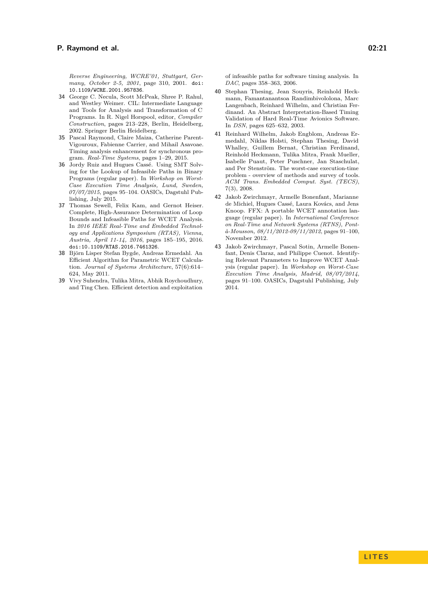*Reverse Engineering, WCRE'01, Stuttgart, Germany, October 2-5, 2001*, page 310, 2001. [doi:](https://doi.org/10.1109/WCRE.2001.957836) [10.1109/WCRE.2001.957836](https://doi.org/10.1109/WCRE.2001.957836).

- <span id="page-20-9"></span>**34** George C. Necula, Scott McPeak, Shree P. Rahul, and Westley Weimer. CIL: Intermediate Language and Tools for Analysis and Transformation of C Programs. In R. Nigel Horspool, editor, *Compiler Construction*, pages 213–228, Berlin, Heidelberg, 2002. Springer Berlin Heidelberg.
- <span id="page-20-6"></span>**35** Pascal Raymond, Claire Maiza, Catherine Parent-Vigouroux, Fabienne Carrier, and Mihail Asavoae. Timing analysis enhancement for synchronous program. *Real-Time Systems*, pages 1–29, 2015.
- <span id="page-20-2"></span>**36** Jordy Ruiz and Hugues Cassé. Using SMT Solving for the Lookup of Infeasible Paths in Binary Programs (regular paper). In *Workshop on Worst-Case Execution Time Analysis, Lund, Sweden, 07/07/2015*, pages 95–104. OASICs, Dagstuhl Publishing, July 2015.
- <span id="page-20-5"></span>**37** Thomas Sewell, Felix Kam, and Gernot Heiser. Complete, High-Assurance Determination of Loop Bounds and Infeasible Paths for WCET Analysis. In *2016 IEEE Real-Time and Embedded Technology and Applications Symposium (RTAS), Vienna, Austria, April 11-14, 2016*, pages 185–195, 2016. [doi:10.1109/RTAS.2016.7461326](https://doi.org/10.1109/RTAS.2016.7461326).
- <span id="page-20-7"></span>**38** Björn Lisper Stefan Bygde, Andreas Ermedahl. An Efficient Algorithm for Parametric WCET Calculation. *Journal of Systems Architecture*, 57(6):614– 624, May 2011.
- <span id="page-20-3"></span>**39** Vivy Suhendra, Tulika Mitra, Abhik Roychoudhury, and Ting Chen. Efficient detection and exploitation
- <span id="page-20-1"></span>**40** Stephan Thesing, Jean Souyris, Reinhold Heckmann, Famantanantsoa Randimbivololona, Marc Langenbach, Reinhard Wilhelm, and Christian Ferdinand. An Abstract Interpretation-Based Timing Validation of Hard Real-Time Avionics Software. In *DSN*, pages 625–632, 2003.
- <span id="page-20-0"></span>**41** Reinhard Wilhelm, Jakob Engblom, Andreas Ermedahl, Niklas Holsti, Stephan Thesing, David Whalley, Guillem Bernat, Christian Ferdinand, Reinhold Heckmann, Tulika Mitra, Frank Mueller, Isabelle Puaut, Peter Puschner, Jan Staschulat, and Per Stenström. The worst-case execution-time problem - overview of methods and survey of tools. *ACM Trans. Embedded Comput. Syst. (TECS)*, 7(3), 2008.
- <span id="page-20-4"></span>**42** Jakob Zwirchmayr, Armelle Bonenfant, Marianne de Michiel, Hugues Cassé, Laura Kovács, and Jens Knoop. FFX: A portable WCET annotation language (regular paper). In *International Conference on Real-Time and Network Systems (RTNS), Pontà-Mousson, 08/11/2012-09/11/2012*, pages 91–100, November 2012.
- <span id="page-20-8"></span>**43** Jakob Zwirchmayr, Pascal Sotin, Armelle Bonenfant, Denis Claraz, and Philippe Cuenot. Identifying Relevant Parameters to Improve WCET Analysis (regular paper). In *Workshop on Worst-Case Execution Time Analysis, Madrid, 08/07/2014*, pages 91–100. OASICs, Dagstuhl Publishing, July 2014.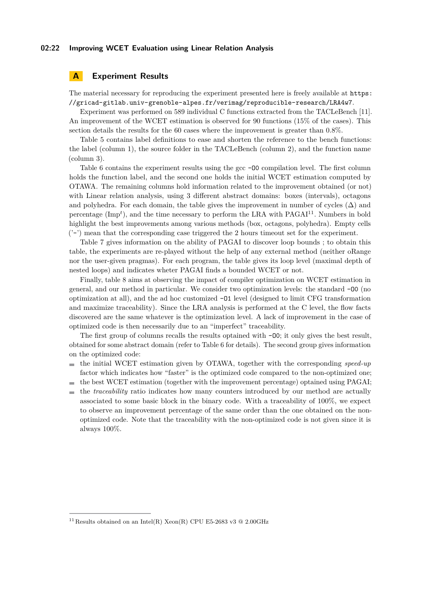#### **02:22 Improving WCET Evaluation using Linear Relation Analysis**

### **A Experiment Results**

The material necessary for reproducing the experiment presented here is freely available at [https:](https://gricad-gitlab.univ-grenoble-alpes.fr/verimag/reproducible-research/LRA4w7) [//gricad-gitlab.univ-grenoble-alpes.fr/verimag/reproducible-research/LRA4w7](https://gricad-gitlab.univ-grenoble-alpes.fr/verimag/reproducible-research/LRA4w7).

Experiment was performed on 589 individual C functions extracted from the TACLeBench [\[11\]](#page-19-24). An improvement of the WCET estimation is observed for 90 functions (15% of the cases). This section details the results for the 60 cases where the improvement is greater than 0.8%.

Table [5](#page-22-0) contains label definitions to ease and shorten the reference to the bench functions: the label (column 1), the source folder in the TACLeBench (column 2), and the function name (column 3).

Table [6](#page-23-0) contains the experiment results using the gcc  $-0$  compilation level. The first column holds the function label, and the second one holds the initial WCET estimation computed by OTAWA. The remaining columns hold information related to the improvement obtained (or not) with Linear relation analysis, using 3 different abstract domains: boxes (intervals), octagons and polyhedra. For each domain, the table gives the improvement in number of cycles  $(\Delta)$  and percentage (Imp<sup>t</sup>), and the time necessary to perform the LRA with PAGAI<sup>[11](#page-21-0)</sup>. Numbers in bold highlight the best improvements among various methods (box, octagons, polyhedra). Empty cells  $('-)$  mean that the corresponding case triggered the 2 hours timeout set for the experiment.

Table [7](#page-24-0) gives information on the ability of PAGAI to discover loop bounds ; to obtain this table, the experiments are re-played without the help of any external method (neither oRange nor the user-given pragmas). For each program, the table gives its loop level (maximal depth of nested loops) and indicates wheter PAGAI finds a bounded WCET or not.

Finally, table [8](#page-25-0) aims at observing the impact of compiler optimization on WCET estimation in general, and our method in particular. We consider two optimization levels: the standard -O0 (no optimization at all), and the ad hoc customized -O1 level (designed to limit CFG transformation and maximize traceability). Since the LRA analysis is performed at the C level, the flow facts discovered are the same whatever is the optimization level. A lack of improvement in the case of optimized code is then necessarily due to an "imperfect" traceability.

The first group of columns recalls the results optained with  $-0$ 0; it only gives the best result. obtained for some abstract domain (refer to Table [6](#page-23-0) for details). The second group gives information on the optimized code:

- $\blacksquare$  the initial WCET estimation given by OTAWA, together with the corresponding *speed-up* factor which indicates how "faster" is the optimized code compared to the non-optimized one;
- $\blacksquare$  the best WCET estimation (together with the improvement percentage) optained using PAGAI;
- the *traceability* ratio indicates how many counters introduced by our method are actually associated to some basic block in the binary code. With a traceability of 100%, we expect to observe an improvement percentage of the same order than the one obtained on the nonoptimized code. Note that the traceability with the non-optimized code is not given since it is always 100%.

<span id="page-21-0"></span><sup>&</sup>lt;sup>11</sup> Results obtained on an Intel(R) Xeon(R) CPU E5-2683 v3  $@$  2.00GHz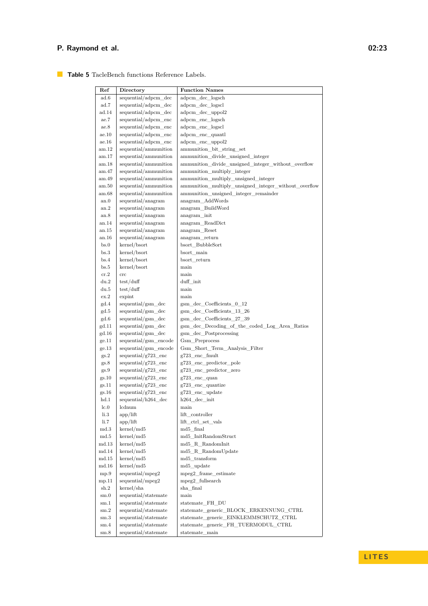### <span id="page-22-0"></span>**Table 5** TacleBench functions Reference Labels.

| Ref                     | Directory                         | <b>Function Names</b>                                 |
|-------------------------|-----------------------------------|-------------------------------------------------------|
| ad.6                    | sequential/adpcm_dec              | adpcm dec logsch                                      |
| ad.7                    | sequential/adpcm_dec              | adpcm dec logscl                                      |
| ad.14                   | sequential/adpcm_dec              | adpcm_dec_uppol2                                      |
| ae.7                    | sequential/adpcm_enc              | adpcm_enc_logsch                                      |
| ae.8                    | sequential/adpcm enc              | adpcm enc logscl                                      |
| ae.10                   | sequential/adpcm_enc              | adpcm_enc_quantl                                      |
| ae.16                   | sequential/adpcm_enc              | adpcm_enc_uppol2                                      |
| am.12                   | sequential/ammunition             | ammunition bit string set                             |
| am.17                   | sequential/ammunition             | ammunition_divide_unsigned_integer                    |
| am.18                   | sequential/ammunition             | ammunition_divide_unsigned_integer_without_overflow   |
| am.47                   | sequential/ammunition             | ammunition_multiply_integer                           |
| am.49                   | sequential/ammunition             | ammunition_multiply_unsigned_integer                  |
| $_{\rm am.50}$          | sequential/ammunition             | ammunition multiply unsigned integer without overflow |
| am.68                   | sequential/ammunition             | ammunition_unsigned_integer_remainder                 |
| an.0                    | sequential/anagram                | anagram AddWords                                      |
| an.2                    | sequential/anagram                | anagram_BuildWord                                     |
| an.8                    | sequential/anagram                | anagram_init                                          |
| an.14                   | sequential/anagram                | anagram ReadDict                                      |
| an.15                   | sequential/anagram                | $anagram$ <sub>_Reset</sub>                           |
| an.16                   | sequential/anagram                | anagram_return                                        |
| bs.0                    | kernel/bsort                      | bsort BubbleSort                                      |
| bs.3                    | kernel/bsort                      | bsort main                                            |
| bs.4                    | kernel/bsort                      | bsort return                                          |
| bs.5                    | kernel/bsort                      | main                                                  |
| cr.2                    | $_{\rm crc}$                      | main<br>duff init                                     |
| du.2<br>du.5            | test/duff<br>test/duff            | main                                                  |
| ex.2                    | expint                            | main                                                  |
| gd.4                    | sequential/gsm_dec                | $g\$ {sm\_dec\_Coefficients\_0\_12}                   |
| gd.5                    | sequential/gsm_dec                | gsm_dec_Coefficients_13_26                            |
| gd.6                    | sequential/gsm_dec                | gsm dec Coefficients 27 39                            |
| gd.11                   | sequential/gsm_dec                | gsm_dec_Decoding_of_the_coded_Log_Area_Ratios         |
| gd.16                   | sequential/gsm_dec                | gsm_dec_Postprocessing                                |
| ge.11                   | sequential/gsm_encode             | Gsm Preprocess                                        |
| ge.13                   | sequential/gsm_encode             | Gsm_Short_Term_Analysis_Filter                        |
| gs.2                    | $sequential/g723_{en}$ cnc        | g723_enc_fmult                                        |
| gs.8                    | $sequential/g723$ <sub>enc</sub>  | g723 enc predictor pole                               |
| gs.9                    | $sequential/g723$ <sub>_enc</sub> | g723 enc predictor zero                               |
| gs.10                   | $sequential/g723$ enc             | $g723$ enc quan                                       |
| gs.11                   | sequential/ $g723$ enc            | g723_enc_quantize                                     |
| gs.16                   | $sequential/g723$ enc             | g723_enc_update                                       |
| hd.1                    | sequential/h264_dec               | $h264 \_\text{dec}\_\text{init}$                      |
| $_{\rm lc.0}$           | lcdnum                            | main                                                  |
| 1i.3                    | app/lift                          | lift_controller                                       |
| $\rm{li.7}$             | app/lift                          | lift_ctrl_set_vals                                    |
| $_{\rm md.3}$           | $k$ ernel/md5                     | md5_final                                             |
| md.5                    | kernel/md5                        | $md5\_InitRandomStructure$                            |
| $_{\rm md.13}$          | kernel/md5                        | $md5\_R\_RandomInit$                                  |
| md.14<br>$_{\rm md.15}$ | $k$ ernel/md5<br>kernel/md5       | md5_R_RandomUpdate<br>md5 transform                   |
| $_{\rm md.16}$          | kernel/md5                        | md5_update                                            |
| mp.9                    | sequential/mpeg2                  | mpeg2_frame_estimate                                  |
| mp.11                   | sequential/mpeg2                  | mpeg2 fullsearch                                      |
| sh.2                    | kernel/sha                        | sha final                                             |
| $_{\rm sm.0}$           | sequential/statemate              | main                                                  |
| $\mathrm{sm.1}$         | sequential/statemate              | statemate_FH_DU                                       |
| $\mathrm{sm.2}$         | sequential/statemate              | statemate_generic_BLOCK_ERKENNUNG_CTRL                |
| $\mathrm{sm.3}$         | sequential/statemate              | statemate_generic_EINKLEMMSCHUTZ_CTRL                 |
| $\mathrm{sm.4}$         | sequential/statemate              | statemate_generic_FH_TUERMODUL_CTRL                   |
| $\mathrm{sm.8}$         | sequential/statemate              | statemate main                                        |
|                         |                                   |                                                       |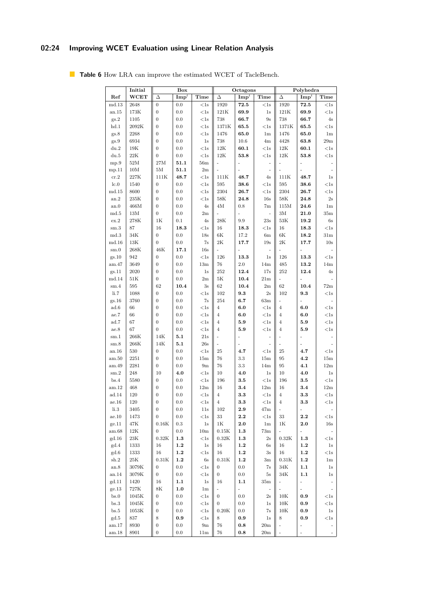# **02:24 Improving WCET Evaluation using Linear Relation Analysis**

|                 | Initial         |                  | <b>Box</b>       |                | Octagons         |                    |                          | Polyhedra                |                              |                          |
|-----------------|-----------------|------------------|------------------|----------------|------------------|--------------------|--------------------------|--------------------------|------------------------------|--------------------------|
| Ref             | WCET            | Δ                | $\mathbf{Imp}^t$ | Time           | Δ                | $\mathbf{Imp}^t$   | Time                     | Δ                        | $\mathbf{Imp}^t$             | Time                     |
| md.13           | 2648            | $\boldsymbol{0}$ | 0.0              | $<$ 1s         | 1920             | 72.5               | $<$ 1s                   | 1920                     | 72.5                         | $<$ 1s                   |
| an.15           | 173K            | $\boldsymbol{0}$ | 0.0              | $<$ 1s         | 121K             | 69.9               | 1s                       | 121K                     | 69.9                         | <1s                      |
| gs.2            | 1105            | $\boldsymbol{0}$ | 0.0              | $<$ 1s         | 738              | 66.7               | 9s                       | 738                      | 66.7                         | $4s$                     |
| hd.1            | 2092K           | $\boldsymbol{0}$ | 0.0              | $<$ 1s         | 1371K            | 65.5               | $<$ 1s                   | 1371K                    | 65.5                         | $<\!1\mathrm{s}$         |
| gs.8            | 2268            | $\boldsymbol{0}$ | 0.0              | $<$ 1s         | 1476             | 65.0               | 1 <sub>m</sub>           | 1476                     | 65.0                         | 1 <sub>m</sub>           |
| gs.9            | 6934            | $\boldsymbol{0}$ | 0.0              | 1s             | 738              | 10.6               | 4m                       | 4428                     | 63.8                         | 29m                      |
| du.2            | 19K             | $\boldsymbol{0}$ | 0.0              | $<$ 1s         | $12\mathrm{K}$   | 60.1               | $<$ 1s                   | 12K                      | 60.1                         | $<$ 1s                   |
| du.5            | $22\mathrm{K}$  | $\boldsymbol{0}$ | 0.0              | $<$ 1s         | 12K              | 53.8               | $<$ 1s                   | 12K                      | 53.8                         | $<$ 1s                   |
| mp.9            | $52\mathrm{M}$  | 27M              | 51.1             | 56m            | ÷,               | ÷                  | $\overline{a}$           | ÷                        | ÷,                           |                          |
| mp.11           | 10M             | 5M               | 51.1             | $2\mathrm{m}$  |                  |                    | $\overline{\phantom{m}}$ |                          |                              |                          |
| cr.2            | 227K            | 111K             | 48.7             | $<$ 1s         | 111K             | 48.7               | 4s                       | 111K                     | 48.7                         | 1s                       |
| lc.0            | 1540            | $\overline{0}$   | 0.0              | $<$ 1s         | 595              | 38.6               | $<$ 1s                   | 595                      | 38.6                         | $<$ 1s                   |
| md.15           | 8600            | $\boldsymbol{0}$ | 0.0              | $<$ 1s         | 2304             | 26.7               | $<$ 1s                   | 2304                     | 26.7                         | $<$ 1s                   |
| an.2            | 235K            | $\boldsymbol{0}$ | 0.0              | $<$ 1s         | 58K              | 24.8               | 16s                      | 58K                      | 24.8                         | $2\mathrm{s}$            |
| an.0            | 466M            | $\overline{0}$   | 0.0              | 4s             | 4M               | 0.8                | 7m                       | 115M                     | 24.6                         | 1 <sub>m</sub>           |
| $_{\rm md.5}$   | 13M             | $\boldsymbol{0}$ | 0.0              | 2m             | ÷,               | $\overline{a}$     | ÷,                       | 3M                       | 21.0                         | 35m                      |
| ex.2            | 278K            | 1 <sub>K</sub>   | 0.1              | 4s             | $28\mathrm{K}$   | $9.9\,$            | 23s                      | 53K                      | 19.2                         | 6s                       |
| $\mathrm{sm.3}$ | 87              | 16               | 18.3             | $<$ 1s         | 16               | 18.3               | $<$ 1s                   | 16                       | 18.3                         | $<$ 1s                   |
| md.3            | $34\mathrm{K}$  | $\boldsymbol{0}$ | 0.0              | 18s            | $6\mathrm{K}$    | 17.2               | 6m                       | 6K                       | 18.2                         | 31m                      |
| md.16           | $13\mathrm{K}$  | $\boldsymbol{0}$ | 0.0              | 7s             | $2\mathrm{K}$    | 17.7               | 19s                      | $2\mathrm{K}$            | 17.7                         | 10s                      |
| sm.0            | $268\mathrm{K}$ | $46\mathrm{K}$   | 17.1             | 16s            | L,               | l,                 | $\overline{\phantom{a}}$ | $\overline{a}$           | $\overline{a}$               |                          |
| gs.10           | 942             | $\boldsymbol{0}$ | 0.0              | $<$ 1s         | 126              | 13.3               | 1s                       | 126                      | 13.3                         | $<$ 1s                   |
| am.47           | 3649            | $\boldsymbol{0}$ | 0.0              | 13m            | 76               | 2.0                | 14m                      | 485                      | 13.2                         | 14m                      |
| gs.11           | 2020            | $\boldsymbol{0}$ | 0.0              | 1s             | 252              | 12.4               | 17s                      | 252                      | 12.4                         | 4s                       |
| md.14           | 51K             | $\boldsymbol{0}$ | 0.0              | 2m             | $5\mathrm{K}$    | 10.4               | 21m                      |                          |                              |                          |
| sm.4            | 595             | 62               | 10.4             | 3s             | 62               | 10.4               | 2m                       | 62                       | 10.4                         | $72\mathrm{m}$           |
| li.7            | 1088            | $\boldsymbol{0}$ | 0.0              | $<$ 1s         | 102              | 9.3                | 2s                       | 102                      | 9.3                          | $<$ 1s                   |
| gs.16           | 3760            | $\boldsymbol{0}$ | 0.0              | 7s             | 254              | 6.7                | 63m                      | ÷,                       | ÷,                           |                          |
| ad.6            | 66              | $\boldsymbol{0}$ | 0.0              | $<$ 1s         | $\overline{4}$   | 6.0                | $<$ 1s                   | $\overline{4}$           | 6.0                          | $<$ 1s                   |
| ae.7            | 66              | $\overline{0}$   | 0.0              | $<$ 1s         | $\overline{4}$   | 6.0                | $<$ 1s                   | $\overline{4}$           | 6.0                          | $<$ 1s                   |
| ad.7            | 67              | $\boldsymbol{0}$ | 0.0              | $<$ 1s         | $\overline{4}$   | 5.9                | $<$ 1s                   | $\overline{4}$           | 5.9                          | $<$ 1s                   |
| ae.8            | 67              | 0                | 0.0              | $<$ 1s         | $\overline{4}$   | 5.9                | $<$ 1s                   | $\overline{4}$           | 5.9                          | $<$ 1s                   |
| sm.1            | $266\mathrm{K}$ | 14K              | 5.1              | 21s            | ÷,               |                    |                          |                          |                              |                          |
| $\mathrm{sm.8}$ | 266K            | 14K              | 5.1              | 26s            | ÷,               |                    |                          |                          |                              |                          |
| an.16           | 530             | $\boldsymbol{0}$ | 0.0              | $<$ 1s         | 25               | 4.7                | $<$ 1s                   | 25                       | 4.7                          | $<$ 1s                   |
| am.50           | 2251            | $\boldsymbol{0}$ | 0.0              | 15m            | 76               | 3.3                | 15m                      | 95                       | 4.2                          | 15m                      |
| am.49           | 2281            | $\overline{0}$   | 0.0              | 9m             | 76               | 3.3                | 14m                      | 95                       | 4.1                          | 12m                      |
| $\mathrm{sm.2}$ | 248             | 10               | 4.0              | $<$ 1s         | 10               | 4.0                | 1s                       | 10                       | 4.0                          | 1s                       |
| bs.4            | 5580            | $\boldsymbol{0}$ | 0.0              | $<$ 1s         | 196              | 3.5                | $<$ 1s                   | 196                      | $3.5\,$                      | <1s                      |
| am.12           | 468             | $\boldsymbol{0}$ | 0.0              | 12m            | 16               | 3.4                | 12m                      | 16                       | 3.4                          | 12m                      |
| ad.14           | 120             | $\boldsymbol{0}$ | 0.0              | $<$ ls         | $\overline{4}$   | 3.3                | $<$ 1s                   | $\overline{4}$           | 3.3                          | $<$ 1s                   |
| ae.16           | 120             | $\overline{0}$   | 0.0              | $<$ 1s         | $\overline{4}$   | 3.3                | $<$ 1s                   | $\overline{4}$           | 3.3                          | $<$ 1s                   |
| $\rm{li.3}$     | 3405            | 0                | 0.0              | 11s            | 102              | $\boldsymbol{2.9}$ | 47m                      | $\overline{\phantom{m}}$ | $\overline{\phantom{a}}$     |                          |
| ae.10           | 1473            | $\boldsymbol{0}$ | 0.0              | $<$ 1s         | 33               | 2.2                | $<$ 1s                   | 33                       | $2.2\,$                      | ${<}1\mathrm{s}$         |
| ge.11           | 47K             | 0.16K            | 0.3              | 1s             | $1\mathrm{K}$    | $2.0\,$            | 1 <sub>m</sub>           | 1K                       | $_{\bf 2.0}$                 | 16s                      |
| am.68           | 12K             | $\boldsymbol{0}$ | 0.0              | 10m            | 0.15K            | 1.3                | 73m                      | $\overline{\phantom{0}}$ | $\overline{\phantom{a}}$     | $\overline{\phantom{a}}$ |
| gd.16           | 23K             | 0.32K            | $1.3\,$          | $<$ 1s         | 0.32K            | $1.3\,$            | 2s                       | 0.32K                    | $1.3\,$                      | $<$ 1s                   |
| gd.4            | 1333            | 16               | $1.2\,$          | 1s             | 16               | $1.2\,$            | 6s                       | 16                       | $1.2\,$                      | 1s                       |
| gd.6            | 1333            | 16               | 1.2              | $<$ 1s         | 16               | 1.2                | 3s                       | 16                       | $1.2\,$                      | $<$ 1s                   |
| sh.2            | 25K             | 0.31K            | $1.2\,$          | 6s             | 0.31K            | 1.2                | 3m                       | 0.31K                    | 1.2                          | 1 <sub>m</sub>           |
| an.8            | 3079K           | 0                | $0.0\,$          | $<$ ls         | $\overline{0}$   | $0.0\,$            | 7s                       | 34K                      | $1.1\,$                      | 1s                       |
| an.14           | 3079K           | $\overline{0}$   | 0.0              | $<$ 1s         | $\overline{0}$   | 0.0                | 5s                       | 34K                      | $1.1\,$                      | 1s                       |
| gd.11           | 1420            | 16               | $1.1\,$          | 1s             | 16               | 1.1                | 35m                      | $\overline{\phantom{a}}$ | $\blacksquare$               | $\overline{\phantom{a}}$ |
| ge.13           | 727K            | 8K               | 1.0              | 1 <sub>m</sub> | ÷,               | $\overline{a}$     |                          |                          | $\overline{\phantom{a}}$     | $\overline{\phantom{a}}$ |
| bs.0            | 1045K           | $\boldsymbol{0}$ | 0.0              | $<$ 1s         | $\boldsymbol{0}$ | 0.0                | 2s                       | 10K                      | 0.9                          | $<$ 1s                   |
| bs.3            | 1045K           | $\boldsymbol{0}$ | 0.0              | $<$ 1s         | $\boldsymbol{0}$ | 0.0                | 1s                       | 10K                      | 0.9                          | $<$ 1s                   |
| bs.5            | 1053K           | 0                | 0.0              | $<$ 1s         | 0.20K            | $0.0\,$            | 7s                       | 10K                      | 0.9                          | 1s                       |
| gd.5            | 837             | 8                | $0.9\,$          | $<$ ls         | 8                | $_{0.9}$           | 1s                       | 8                        | 0.9                          | $<$ 1s                   |
| am.17           | 8930            | $\boldsymbol{0}$ | 0.0              | 9m             | 76               | $0.8\,$            | 20 <sub>m</sub>          | ÷                        | $\overline{\phantom{0}}$     |                          |
| am.18           | 8901            | 0                | 0.0              | 11m            | 76               | 0.8                | 20m                      |                          | $\qquad \qquad \blacksquare$ |                          |

<span id="page-23-0"></span>**Table 6** How LRA can improve the estimated WCET of TacleBench.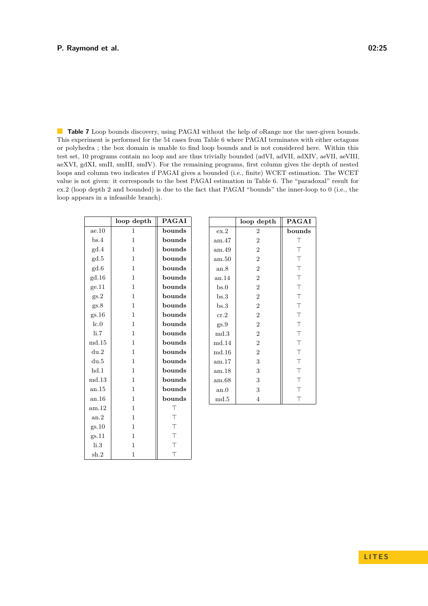<span id="page-24-0"></span>**Table 7** Loop bounds discovery, using PAGAI without the help of oRange nor the user-given bounds. This experiment is performed for the 54 cases from Table [6](#page-23-0) where PAGAI terminates with either octagons or polyhedra ; the box domain is unable to find loop bounds and is not considered here. Within this test set, 10 programs contain no loop and are thus trivially bounded (adVI, adVII, adXIV, aeVII, aeVIII, aeXVI, gdXI, smII, smIII, smIV). For the remaining programs, first column gives the depth of nested loops and column two indicates if PAGAI gives a bounded (i.e., finite) WCET estimation. The WCET value is not given: it corresponds to the best PAGAI estimation in Table [6.](#page-23-0) The "paradoxal" result for ex.2 (loop depth 2 and bounded) is due to the fact that PAGAI "bounds" the inner-loop to 0 (i.e., the loop appears in a infeasible branch).

|             | loop depth   | <b>PAGAI</b> |       | loop depth     | <b>PAGAI</b> |
|-------------|--------------|--------------|-------|----------------|--------------|
| ae.10       | 1            | bounds       | ex.2  | $\overline{2}$ | bounds       |
| bs.4        | 1            | bounds       | am.47 | $\overline{2}$ | Τ            |
| gd.4        | $\mathbf{1}$ | bounds       | am.49 | $\overline{2}$ | $\top$       |
| gd.5        | $\mathbf{1}$ | bounds       | am.50 | $\overline{2}$ | $\top$       |
| gd.6        | $\mathbf{1}$ | bounds       | an.8  | $\overline{2}$ | $\top$       |
| gd.16       | $\mathbf{1}$ | bounds       | an.14 | $\overline{2}$ | $\top$       |
| ge.11       | $\mathbf{1}$ | bounds       | bs.0  | $\overline{2}$ | $\top$       |
| gs.2        | $\mathbf{1}$ | bounds       | bs.3  | $\overline{2}$ | $\top$       |
| gs.8        | $\mathbf{1}$ | bounds       | bs.3  | $\overline{2}$ | $\top$       |
| gs.16       | 1            | bounds       | cr.2  | $\overline{2}$ | $\top$       |
| lc.0        | $\mathbf{1}$ | bounds       | gs.9  | $\overline{2}$ | $\top$       |
| li.7        | 1            | bounds       | md.3  | $\overline{2}$ | $\top$       |
| $\rm md.15$ | $\mathbf{1}$ | bounds       | md.14 | $\overline{2}$ | $\top$       |
| du.2        | 1            | bounds       | md.16 | $\overline{2}$ | $\top$       |
| du.5        | 1            | bounds       | am.17 | 3              | $\top$       |
| hd.1        | 1            | bounds       | am.18 | 3              | $\top$       |
| md.13       | 1            | bounds       | am.68 | 3              | $\top$       |
| an.15       | 1            | bounds       | an.0  | 3              | $\top$       |
| an.16       | 1            | bounds       | md.5  | 4              | $\top$       |
| am.12       | 1            | $\top$       |       |                |              |
| an.2        | $\mathbf{1}$ | $\top$       |       |                |              |
| gs.10       | $\mathbf{1}$ | $\top$       |       |                |              |
| gs.11       | $\mathbf{1}$ | $\top$       |       |                |              |
| $\rm{li.3}$ | 1            | $\top$       |       |                |              |

sh.2  $\vert$  1  $\vert$  T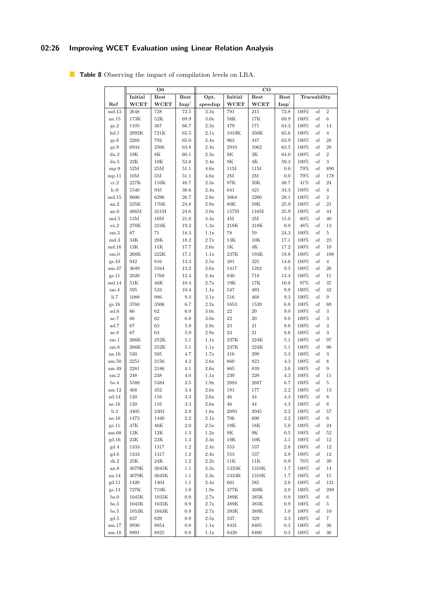# **02:26 Improving WCET Evaluation using Linear Relation Analysis**

|                       |                 | $\bf{O0}$        |                  |                 |                 | $_{\rm CO}$                |                    |      |              |                |
|-----------------------|-----------------|------------------|------------------|-----------------|-----------------|----------------------------|--------------------|------|--------------|----------------|
|                       | Initial         | <b>Best</b>      | <b>Best</b>      | Opt.            | Initial         | $\overline{\text{Best}}$   | <b>Best</b>        |      | Traceability |                |
| Ref                   | <b>WCET</b>     | <b>WCET</b>      | $\mathbf{Imp}^t$ | speedup         | WCET            | <b>WCET</b>                | $\mathbf{Imp}^{t}$ |      |              |                |
| md.13                 | 2648            | 728              | 72.5             | 3.3x            | 791             | 215                        | 72.8               | 100% | of           | $\overline{2}$ |
| an.15                 | $173\mathrm{K}$ | $52\mathrm{K}$   | 69.9             | 3.0x            | $58\mathrm{K}$  | 17K                        | 69.9               | 100% | $\sigma$     | $\,$ 6 $\,$    |
| gs.2                  | 1105            | 367              | 66.7             | 2.3x            | 479             | 171                        | 64.3               | 100% | of           | 14             |
| hd.1                  | 2092K           | 721K             | 65.5             | 2.1x            | 1019K           | 350K                       | 65.6               | 100% | of           | $\overline{4}$ |
| gs.8                  | 2268            | 792              | 65.0             | $2.4\mathrm{x}$ | 963             | 347                        | 63.9               | 100% | of           | 28             |
| gs.9                  | 6934            | 2506             | 63.8             | 2.4x            | 2910            | 1062                       | 63.5               | 100% | of           | 28             |
| du.2                  | 19K             | $8\mathrm{K}$    | 60.1             | 2.3x            | $8\mathrm{K}$   | 3K                         | 64.0               | 100% | of           | $\overline{2}$ |
| du.5                  | 22K             | 10K              | 53.8             | 2.4x            | 9K              | $4\mathrm{K}$              | 59.3               | 100% | of           | 3              |
| mp.9                  | 52M             | 25M              | 51.1             | 4.6x            | 11M             | 11M                        | 0.0                | 79%  | of           | 890            |
| mp.11                 | 10M             | 5M               | 51.1             | 4.6x            | 2M              | $2\ensuremath{\mathrm{M}}$ | 0.0                | 79%  | of           | 178            |
| cr.2                  | $227\mathrm{K}$ | 116K             | 48.7             | 2.3x            | 97K             | $50\mathrm{K}$             | 48.7               | 41%  | of           | 24             |
| lc.0                  | 1540            | 945              | 38.6             | 2.4x            | 641             | 421                        | 34.3               | 100% | of           | $\,4$          |
| md.15                 | 8600            | 6296             | 26.7             | 2.8x            | 3064            | 2200                       | $28.1\,$           | 100% | $\sigma$     | $\overline{2}$ |
| an.2                  | $235\mathrm{K}$ | 176K             | 24.8             | 2.9x            | $80\mathrm{K}$  | $59\mathrm{K}$             | 25.9               | 100% | of           | 21             |
| an.0                  | $466\mbox{M}$   | 351M             | 24.6             | 3.0x            | 157M            | 116M                       | 25.9               | 100% | of           | 44             |
| md.5                  | 13M             | 10M              | 21.0             | 3.4x            | 4M              | 3M                         | 15.0               | 80%  | of           | 40             |
| ex.2                  | 278K            | 224K             | 19.2             | 1.3x            | 218K            | 218K                       | 0.0                | 46%  | of           | 13             |
| $\mathrm{sm.3}$       | 87              | $71\,$           | 18.3             | 1.1x            | 78              | $59\,$                     | 24.3               | 100% | of           | 5              |
| md.3                  | 34K             | $28\mathrm{K}$   | 18.2             | 2.7x            | 13K             | 10K                        | 17.1               | 100% | of           | $\bf 23$       |
| md.16                 | 13K             | 11K              | 17.7             | 2.6x            | 5K              | $4\mathrm{K}$              | 17.2               | 100% | of           | 10             |
| sm.0                  | $268\mathrm{K}$ | 222K             | 17.1             | 1.1x            | 237K            | 193K                       | 18.8               | 100% | of           | 108            |
| gs.10                 | 942             | 816              | 13.3             | $2.5\mathrm{x}$ | 381             | 325                        | 14.6               | 100% | of           | $\overline{4}$ |
| am.47                 | 3649            | 3164             | 13.2             | 2.6x            | 1417            | 1282                       | 9.5                | 100% | $\sigma$     | 26             |
| gs.11                 | 2020            | 1768             | 12.4             | 2.4x            | 830             | 718                        | 13.4               | 100% | of           | 11             |
| md.14                 | 51K             | 46K              | 10.4             | 2.7x            | 19K             | 17K                        | $10.8\,$           | 97%  | of           | 37             |
| $\mathrm{sm.4}$       | 595             | 533              | 10.4             | 1.1x            | 547             | 493                        | $9.8\,$            | 100% | of           | 42             |
| li.7                  | 1088            | 986              | 9.3              | 2.1x            | 516             | 468                        | 9.3                | 100% | of           | 9              |
| gs.16                 | 3760            | 3506             | 6.7              | $2.3\mathrm{x}$ | 1653            | 1539                       | 6.8                | 100% | of           | 69             |
| $\operatorname{ad}.6$ | 66              | 62               | 6.0              | 3.0x            | 22              | $20\,$                     | 9.0                | 100% | of           | 3              |
| $\rm ae.7$            | 66              | 62               | 6.0              | 3.0x            | 22              | 20                         | 9.0                | 100% | of           | 3              |
| ad.7                  | 67              | 63               | $5.9\,$          | 2.9x            | 23              | $21\,$                     | $8.6\,$            | 100% | of           | $\,3$          |
| ae.8                  | 67              | 63               | $5.9\,$          | 2.9x            | 23              | 21                         | $8.6\,$            | 100% | of           | 3              |
| sm.1                  | 266K            | 252K             | 5.1              | 1.1x            | 237K            | 224K                       | 5.1                | 100% | of           | 97             |
| $\mathrm{sm.8}$       | $266\mathrm{K}$ | 252K             | 5.1              | 1.1x            | 237K            | 224K                       | 5.1                | 100% | of           | 96             |
| an.16                 | 530             | 505              | 4.7              | 1.7x            | 316             | 299                        | $5.3\,$            | 100% | of           | $\,3$          |
| am.50                 | $2251\,$        | 2156             | 4.2              | 2.6x            | 860             | 823                        | 4.3                | 100% | $_{\rm of}$  | 8              |
| am.49                 | 2281            | 2186             | 4.1              | 2.6x            | 865             | 839                        | $3.0\,$            | 100% | of           | 9              |
| $\mathrm{sm.2}$       | 248             | 238              | 4.0              | 1.1x            | 230             | 220                        | 4.3                | 100% | of           | 11             |
| bs.4                  | 5580            | 5384             | 3.5              | 1.9x            | 2883            | 2687                       | 6.7                | 100% | of           | $\,$ 5         |
| am.12                 | 468             | 452              | 3.4              | 2.6x            | 181             | 177                        | $2.2\,$            | 100% | of           | 13             |
| ad.14                 | 120             | 116              | 3.3              | $2.6\mathrm{x}$ | 46              | 44                         | 4.3                | 100% | of           | $\,$ $\,$      |
| ae.16                 | 120             | 116              | $3.3\,$          | 2.6x            | 46              | 44                         | 4.3                | 100% | of           | 8              |
| li.3                  | 3405            | 3303             | $2.9\,$          | $1.6\mathrm{x}$ | 2093            | 2045                       | 2.2                | 100% | of           | 57             |
| ae.10                 | 1473            | 1440             | 2.2              | 2.1x            | 706             | 690                        | 2.2                | 100% | of           | $\,6\,$        |
| ge.11                 | 47K             | 46K              | 2.0              | $2.5\mathrm{x}$ | 19K             | 18K                        | 5.0                | 100% | of           | 24             |
| am.68                 | 12K             | 12K              | 1.3              | 1.2x            | 9K              | 9K                         | 0.5                | 100% | of           | 52             |
| gd.16                 | 23K             | 23K              | 1.3              | 2.3x            | 10K             | 10K                        | $3.1\,$            | 100% | οf           | 12             |
| gd.4                  | 1333            | 1317             | $1.2\,$          | 2.4x            | 553             | 537                        | 2.8                | 100% | οf           | 12             |
| gd.6                  | 1333            | 1317             | 1.2              | $2.4\mathrm{x}$ | 553             | 537                        | 2.8                | 100% | of           | 12             |
| sh.2                  | 25K             | 24K              | 1.2              | $2.2\mathrm{x}$ | 11K             | 11K                        | $_{0.9}$           | 76%  | οf           | $39\,$         |
| an.8                  | 3079K           | $3045\mathrm{K}$ | $1.1\,$          | $2.3\mathrm{x}$ | 1333K           | $1310\mathrm{K}$           | 1.7                | 100% | οf           | 14             |
| an.14                 | 3079K           | 3045K            | 1.1              | $2.3\mathrm{x}$ | 1333K           | 1310K                      | 1.7                | 100% | of           | 15             |
| gd.11                 | 1420            | 1404             | 1.1              | 2.4x            | 601             | 585                        | $2.6\,$            | 100% | of           | 121            |
| ge.13                 | 727K            | 719K             | $1.0\,$          | $1.9\mathrm{x}$ | 377K            | $369\mathrm{K}$            | $2.0\,$            | 100% | of           | 289            |
| bs.0                  | 1045K           | 1035K            | $0.9\,$          | 2.7x            | 389K            | 385K                       | 0.9                | 100% | of           | 6              |
| bs.3                  | 1045K           | 1035K            | $_{0.9}$         | 2.7x            | $389\mathrm{K}$ | 385K                       | $_{0.9}$           | 100% | οf           | 5              |
| bs.5                  | 1053K           | 1043K            | $0.9\,$          | 2.7x            | 393K            | 389K                       | 1.0                | 100% | of           | 10             |
| gd.5                  | 837             | 829              | 0.9              | $2.5\mathrm{x}$ | $337\,$         | $329\,$                    | 2.3                | 100% | of           | 7              |
| am.17                 | 8930            | 8854             | 0.8              | 1.1x            | 8431            | 8405                       | $_{0.3}$           | 100% | of           | 36             |
| am.18                 | 8901            | 8825             | 0.8              | 1.1x            | 8426            | 8400                       | 0.3                | 100% | of           | 36             |

<span id="page-25-0"></span>**Table 8** Observing the impact of compilation levels on LRA.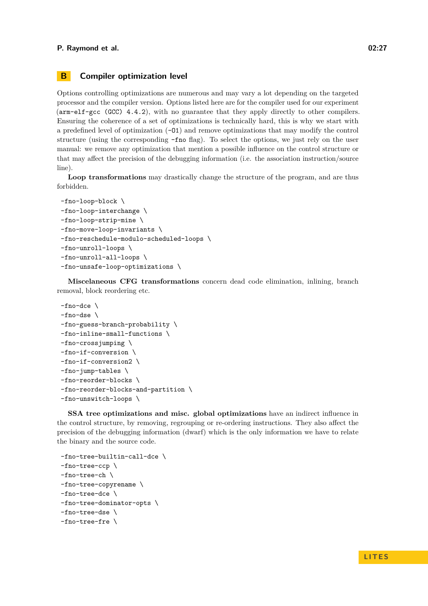### <span id="page-26-0"></span>**B Compiler optimization level**

Options controlling optimizations are numerous and may vary a lot depending on the targeted processor and the compiler version. Options listed here are for the compiler used for our experiment (arm-elf-gcc (GCC) 4.4.2), with no guarantee that they apply directly to other compilers. Ensuring the coherence of a set of optimizations is technically hard, this is why we start with a predefined level of optimization (-O1) and remove optimizations that may modify the control structure (using the corresponding -fno flag). To select the options, we just rely on the user manual: we remove any optimization that mention a possible influence on the control structure or that may affect the precision of the debugging information (i.e. the association instruction/source line).

**Loop transformations** may drastically change the structure of the program, and are thus forbidden.

```
-fno-loop-block \
-fno-loop-interchange \
-fno-loop-strip-mine \
-fno-move-loop-invariants \
-fno-reschedule-modulo-scheduled-loops \
-fno-unroll-loops \
-fno-unroll-all-loops \
-fno-unsafe-loop-optimizations \
```
**Miscelaneous CFG transformations** concern dead code elimination, inlining, branch removal, block reordering etc.

```
-fno-dce \
-fno-dse \
-fno-guess-branch-probability \
-fno-inline-small-functions \
-fno-crossjumping \
-fno-if-conversion \
-fno-if-conversion2 \
-fno-jump-tables \
-fno-reorder-blocks \
-fno-reorder-blocks-and-partition \
-fno-unswitch-loops \
```
**SSA tree optimizations and misc. global optimizations** have an indirect influence in the control structure, by removing, regrouping or re-ordering instructions. They also affect the precision of the debugging information (dwarf) which is the only information we have to relate the binary and the source code.

```
-fno-tree-builtin-call-dce \
-fno-tree-ccp \
-fno-tree-ch \
-fno-tree-copyrename \
-fno-tree-dce \
-fno-tree-dominator-opts \
-fno-tree-dse \
-fno-tree-fre \
```